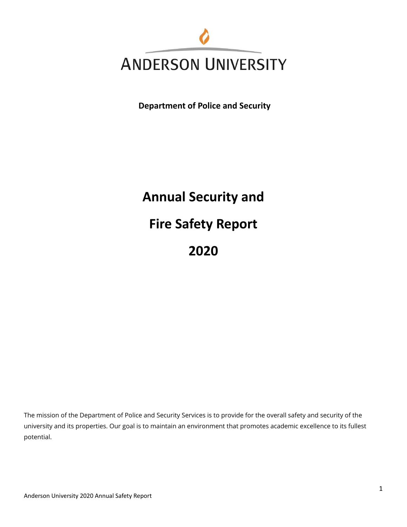

**Department of Police and Security**

**Annual Security and Fire Safety Report 2020**

The mission of the Department of Police and Security Services is to provide for the overall safety and security of the university and its properties. Our goal is to maintain an environment that promotes academic excellence to its fullest potential.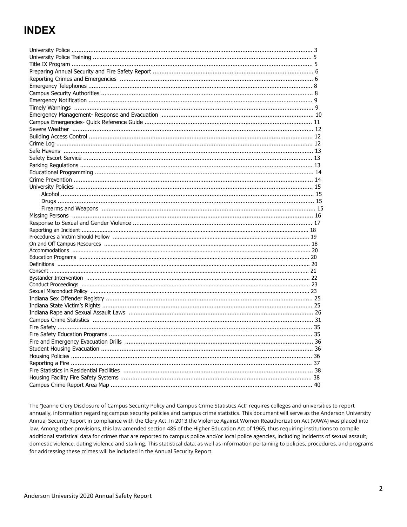# **INDEX**

The "Jeanne Clery Disclosure of Campus Security Policy and Campus Crime Statistics Act" requires colleges and universities to report annually, information regarding campus security policies and campus crime statistics. This document will serve as the Anderson University Annual Security Report in compliance with the Clery Act. In 2013 the Violence Against Women Reauthorization Act (VAWA) was placed into law. Among other provisions, this law amended section 485 of the Higher Education Act of 1965, thus requiring institutions to compile additional statistical data for crimes that are reported to campus police and/or local police agencies, including incidents of sexual assault, domestic violence, dating violence and stalking. This statistical data, as well as information pertaining to policies, procedures, and programs for addressing these crimes will be included in the Annual Security Report.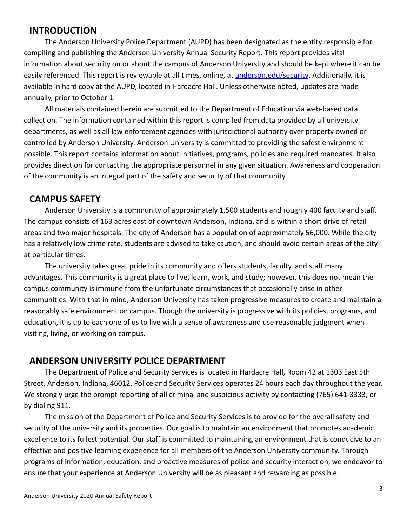## **INTRODUCTION**

The Anderson University Police Department (AUPD) has been designated as the entity responsible for compiling and publishing the Anderson University Annual Security Report. This report provides vital information about security on or about the campus of Anderson University and should be kept where it can be easily referenced. This report is reviewable at all times, online, at [anderson.edu/security](http://anderson.edu/security). Additionally, it is available in hard copy at the AUPD, located in Hardacre Hall. Unless otherwise noted, updates are made annually, prior to October 1.

All materials contained herein are submitted to the Department of Education via web-based data collection. The information contained within this report is compiled from data provided by all university departments, as well as all law enforcement agencies with jurisdictional authority over property owned or controlled by Anderson University. Anderson University is committed to providing the safest environment possible. This report contains information about initiatives, programs, policies and required mandates. It also provides direction for contacting the appropriate personnel in any given situation. Awareness and cooperation of the community is an integral part of the safety and security of that community.

## **CAMPUS SAFETY**

Anderson University is a community of approximately 1,500 students and roughly 400 faculty and staff. The campus consists of 163 acres east of downtown Anderson, Indiana, and is within a short drive of retail areas and two major hospitals. The city of Anderson has a population of approximately 56,000. While the city has a relatively low crime rate, students are advised to take caution, and should avoid certain areas of the city at particular times.

The university takes great pride in its community and offers students, faculty, and staff many advantages. This community is a great place to live, learn, work, and study; however, this does not mean the campus community is immune from the unfortunate circumstances that occasionally arise in other communities. With that in mind, Anderson University has taken progressive measures to create and maintain a reasonably safe environment on campus. Though the university is progressive with its policies, programs, and education, it is up to each one of us to live with a sense of awareness and use reasonable judgment when visiting, living, or working on campus.

## **ANDERSON UNIVERSITY POLICE DEPARTMENT**

The Department of Police and Security Services is located in Hardacre Hall, Room 42 at 1303 East 5th Street, Anderson, Indiana, 46012. Police and Security Services operates 24 hours each day throughout the year. We strongly urge the prompt reporting of all criminal and suspicious activity by contacting (765) 641-3333, or by dialing 911.

The mission of the Department of Police and Security Services is to provide for the overall safety and security of the university and its properties. Our goal is to maintain an environment that promotes academic excellence to its fullest potential. Our staff is committed to maintaining an environment that is conducive to an effective and positive learning experience for all members of the Anderson University community. Through programs of information, education, and proactive measures of police and security interaction, we endeavor to ensure that your experience at Anderson University will be as pleasant and rewarding as possible.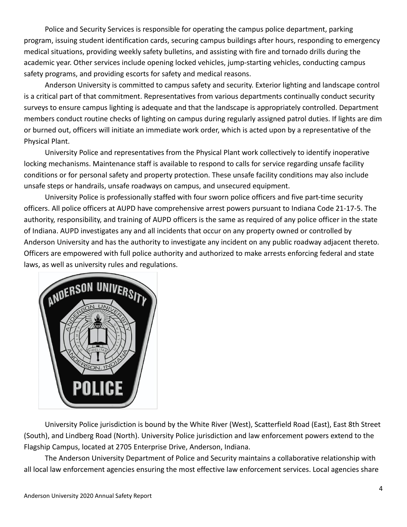Police and Security Services is responsible for operating the campus police department, parking program, issuing student identification cards, securing campus buildings after hours, responding to emergency medical situations, providing weekly safety bulletins, and assisting with fire and tornado drills during the academic year. Other services include opening locked vehicles, jump-starting vehicles, conducting campus safety programs, and providing escorts for safety and medical reasons.

Anderson University is committed to campus safety and security. Exterior lighting and landscape control is a critical part of that commitment. Representatives from various departments continually conduct security surveys to ensure campus lighting is adequate and that the landscape is appropriately controlled. Department members conduct routine checks of lighting on campus during regularly assigned patrol duties. If lights are dim or burned out, officers will initiate an immediate work order, which is acted upon by a representative of the Physical Plant.

University Police and representatives from the Physical Plant work collectively to identify inoperative locking mechanisms. Maintenance staff is available to respond to calls for service regarding unsafe facility conditions or for personal safety and property protection. These unsafe facility conditions may also include unsafe steps or handrails, unsafe roadways on campus, and unsecured equipment.

University Police is professionally staffed with four sworn police officers and five part-time security officers. All police officers at AUPD have comprehensive arrest powers pursuant to Indiana Code 21-17-5. The authority, responsibility, and training of AUPD officers is the same as required of any police officer in the state of Indiana. AUPD investigates any and all incidents that occur on any property owned or controlled by Anderson University and has the authority to investigate any incident on any public roadway adjacent thereto. Officers are empowered with full police authority and authorized to make arrests enforcing federal and state laws, as well as university rules and regulations.



University Police jurisdiction is bound by the White River (West), Scatterfield Road (East), East 8th Street (South), and Lindberg Road (North). University Police jurisdiction and law enforcement powers extend to the Flagship Campus, located at 2705 Enterprise Drive, Anderson, Indiana.

The Anderson University Department of Police and Security maintains a collaborative relationship with all local law enforcement agencies ensuring the most effective law enforcement services. Local agencies share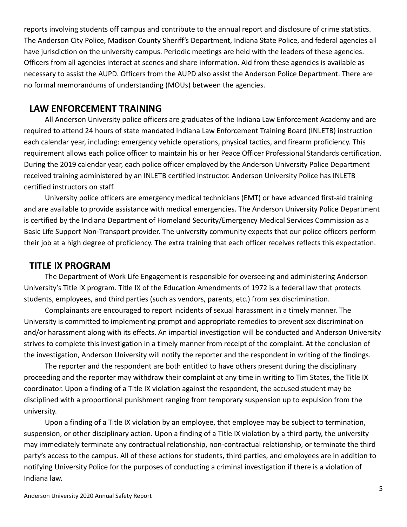reports involving students off campus and contribute to the annual report and disclosure of crime statistics. The Anderson City Police, Madison County Sheriff's Department, Indiana State Police, and federal agencies all have jurisdiction on the university campus. Periodic meetings are held with the leaders of these agencies. Officers from all agencies interact at scenes and share information. Aid from these agencies is available as necessary to assist the AUPD. Officers from the AUPD also assist the Anderson Police Department. There are no formal memorandums of understanding (MOUs) between the agencies.

## **LAW ENFORCEMENT TRAINING**

All Anderson University police officers are graduates of the Indiana Law Enforcement Academy and are required to attend 24 hours of state mandated Indiana Law Enforcement Training Board (INLETB) instruction each calendar year, including: emergency vehicle operations, physical tactics, and firearm proficiency. This requirement allows each police officer to maintain his or her Peace Officer Professional Standards certification. During the 2019 calendar year, each police officer employed by the Anderson University Police Department received training administered by an INLETB certified instructor. Anderson University Police has INLETB certified instructors on staff.

University police officers are emergency medical technicians (EMT) or have advanced first-aid training and are available to provide assistance with medical emergencies. The Anderson University Police Department is certified by the Indiana Department of Homeland Security/Emergency Medical Services Commission as a Basic Life Support Non-Transport provider. The university community expects that our police officers perform their job at a high degree of proficiency. The extra training that each officer receives reflects this expectation.

## **TITLE IX PROGRAM**

The Department of Work Life Engagement is responsible for overseeing and administering Anderson University's Title IX program. Title IX of the Education Amendments of 1972 is a federal law that protects students, employees, and third parties (such as vendors, parents, etc.) from sex discrimination.

Complainants are encouraged to report incidents of sexual harassment in a timely manner. The University is committed to implementing prompt and appropriate remedies to prevent sex discrimination and/or harassment along with its effects. An impartial investigation will be conducted and Anderson University strives to complete this investigation in a timely manner from receipt of the complaint. At the conclusion of the investigation, Anderson University will notify the reporter and the respondent in writing of the findings.

The reporter and the respondent are both entitled to have others present during the disciplinary proceeding and the reporter may withdraw their complaint at any time in writing to Tim States, the Title IX coordinator. Upon a finding of a Title IX violation against the respondent, the accused student may be disciplined with a proportional punishment ranging from temporary suspension up to expulsion from the university.

Upon a finding of a Title IX violation by an employee, that employee may be subject to termination, suspension, or other disciplinary action. Upon a finding of a Title IX violation by a third party, the university may immediately terminate any contractual relationship, non-contractual relationship, or terminate the third party's access to the campus. All of these actions for students, third parties, and employees are in addition to notifying University Police for the purposes of conducting a criminal investigation if there is a violation of Indiana law.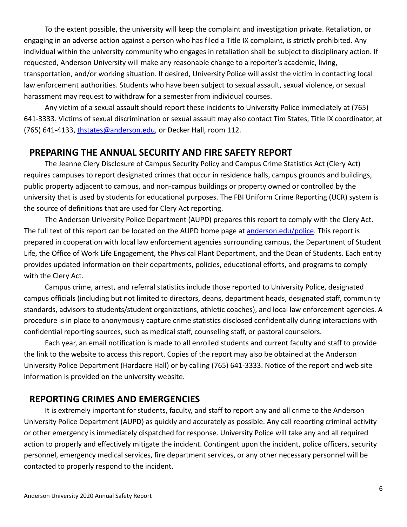To the extent possible, the university will keep the complaint and investigation private. Retaliation, or engaging in an adverse action against a person who has filed a Title IX complaint, is strictly prohibited. Any individual within the university community who engages in retaliation shall be subject to disciplinary action. If requested, Anderson University will make any reasonable change to a reporter's academic, living, transportation, and/or working situation. If desired, University Police will assist the victim in contacting local law enforcement authorities. Students who have been subject to sexual assault, sexual violence, or sexual harassment may request to withdraw for a semester from individual courses.

Any victim of a sexual assault should report these incidents to University Police immediately at (765) 641-3333. Victims of sexual discrimination or sexual assault may also contact Tim States, Title IX coordinator, at (765) 641-4133, [thstates@anderson.edu](mailto:srmcclure@anderson.edu), or Decker Hall, room 112.

## **PREPARING THE ANNUAL SECURITY AND FIRE SAFETY REPORT**

The Jeanne Clery Disclosure of Campus Security Policy and Campus Crime Statistics Act (Clery Act) requires campuses to report designated crimes that occur in residence halls, campus grounds and buildings, public property adjacent to campus, and non-campus buildings or property owned or controlled by the university that is used by students for educational purposes. The FBI Uniform Crime Reporting (UCR) system is the source of definitions that are used for Clery Act reporting.

The Anderson University Police Department (AUPD) prepares this report to comply with the Clery Act. The full text of this report can be located on the AUPD home page at [anderson.edu/police](http://anderson.edu/police). This report is prepared in cooperation with local law enforcement agencies surrounding campus, the Department of Student Life, the Office of Work Life Engagement, the Physical Plant Department, and the Dean of Students. Each entity provides updated information on their departments, policies, educational efforts, and programs to comply with the Clery Act.

Campus crime, arrest, and referral statistics include those reported to University Police, designated campus officials (including but not limited to directors, deans, department heads, designated staff, community standards, advisors to students/student organizations, athletic coaches), and local law enforcement agencies. A procedure is in place to anonymously capture crime statistics disclosed confidentially during interactions with confidential reporting sources, such as medical staff, counseling staff, or pastoral counselors.

Each year, an email notification is made to all enrolled students and current faculty and staff to provide the link to the website to access this report. Copies of the report may also be obtained at the Anderson University Police Department (Hardacre Hall) or by calling (765) 641-3333. Notice of the report and web site information is provided on the university website.

## **REPORTING CRIMES AND EMERGENCIES**

It is extremely important for students, faculty, and staff to report any and all crime to the Anderson University Police Department (AUPD) as quickly and accurately as possible. Any call reporting criminal activity or other emergency is immediately dispatched for response. University Police will take any and all required action to properly and effectively mitigate the incident. Contingent upon the incident, police officers, security personnel, emergency medical services, fire department services, or any other necessary personnel will be contacted to properly respond to the incident.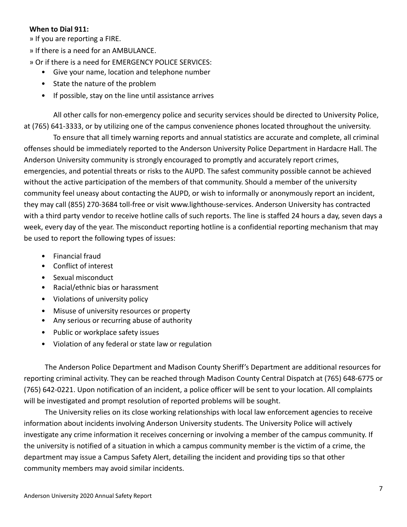#### **When to Dial 911:**

» If you are reporting a FIRE.

» If there is a need for an AMBULANCE.

» Or if there is a need for EMERGENCY POLICE SERVICES:

- Give your name, location and telephone number
- State the nature of the problem
- If possible, stay on the line until assistance arrives

All other calls for non-emergency police and security services should be directed to University Police, at (765) 641-3333, or by utilizing one of the campus convenience phones located throughout the university.

To ensure that all timely warning reports and annual statistics are accurate and complete, all criminal offenses should be immediately reported to the Anderson University Police Department in Hardacre Hall. The Anderson University community is strongly encouraged to promptly and accurately report crimes, emergencies, and potential threats or risks to the AUPD. The safest community possible cannot be achieved without the active participation of the members of that community. Should a member of the university community feel uneasy about contacting the AUPD, or wish to informally or anonymously report an incident, they may call (855) 270-3684 toll-free or visit www.lighthouse-services. Anderson University has contracted with a third party vendor to receive hotline calls of such reports. The line is staffed 24 hours a day, seven days a week, every day of the year. The misconduct reporting hotline is a confidential reporting mechanism that may be used to report the following types of issues:

- Financial fraud
- Conflict of interest
- Sexual misconduct
- Racial/ethnic bias or harassment
- Violations of university policy
- Misuse of university resources or property
- Any serious or recurring abuse of authority
- Public or workplace safety issues
- Violation of any federal or state law or regulation

The Anderson Police Department and Madison County Sheriff's Department are additional resources for reporting criminal activity. They can be reached through Madison County Central Dispatch at (765) 648-6775 or (765) 642-0221. Upon notification of an incident, a police officer will be sent to your location. All complaints will be investigated and prompt resolution of reported problems will be sought.

The University relies on its close working relationships with local law enforcement agencies to receive information about incidents involving Anderson University students. The University Police will actively investigate any crime information it receives concerning or involving a member of the campus community. If the university is notified of a situation in which a campus community member is the victim of a crime, the department may issue a Campus Safety Alert, detailing the incident and providing tips so that other community members may avoid similar incidents.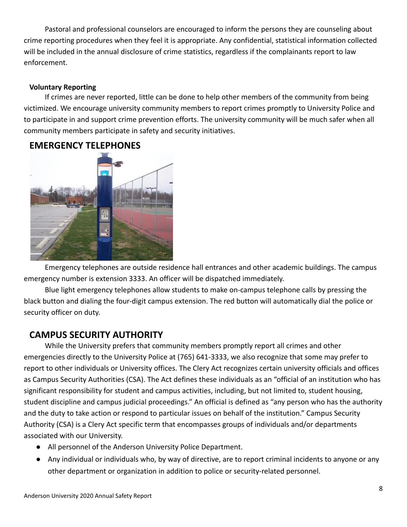Pastoral and professional counselors are encouraged to inform the persons they are counseling about crime reporting procedures when they feel it is appropriate. Any confidential, statistical information collected will be included in the annual disclosure of crime statistics, regardless if the complainants report to law enforcement.

#### **Voluntary Reporting**

If crimes are never reported, little can be done to help other members of the community from being victimized. We encourage university community members to report crimes promptly to University Police and to participate in and support crime prevention efforts. The university community will be much safer when all community members participate in safety and security initiatives.



## **EMERGENCY TELEPHONES**

Emergency telephones are outside residence hall entrances and other academic buildings. The campus emergency number is extension 3333. An officer will be dispatched immediately.

Blue light emergency telephones allow students to make on-campus telephone calls by pressing the black button and dialing the four-digit campus extension. The red button will automatically dial the police or security officer on duty.

## **CAMPUS SECURITY AUTHORITY**

While the University prefers that community members promptly report all crimes and other emergencies directly to the University Police at (765) 641-3333, we also recognize that some may prefer to report to other individuals or University offices. The Clery Act recognizes certain university officials and offices as Campus Security Authorities (CSA). The Act defines these individuals as an "official of an institution who has significant responsibility for student and campus activities, including, but not limited to, student housing, student discipline and campus judicial proceedings." An official is defined as "any person who has the authority and the duty to take action or respond to particular issues on behalf of the institution." Campus Security Authority (CSA) is a Clery Act specific term that encompasses groups of individuals and/or departments associated with our University.

- All personnel of the Anderson University Police Department.
- Any individual or individuals who, by way of directive, are to report criminal incidents to anyone or any other department or organization in addition to police or security-related personnel.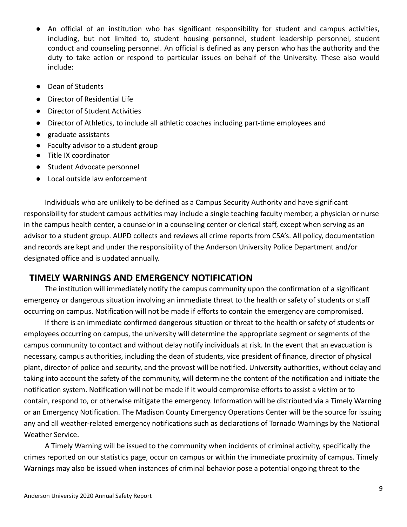- An official of an institution who has significant responsibility for student and campus activities, including, but not limited to, student housing personnel, student leadership personnel, student conduct and counseling personnel. An official is defined as any person who has the authority and the duty to take action or respond to particular issues on behalf of the University. These also would include:
- Dean of Students
- Director of Residential Life
- Director of Student Activities
- Director of Athletics, to include all athletic coaches including part-time employees and
- graduate assistants
- Faculty advisor to a student group
- Title IX coordinator
- Student Advocate personnel
- Local outside law enforcement

Individuals who are unlikely to be defined as a Campus Security Authority and have significant responsibility for student campus activities may include a single teaching faculty member, a physician or nurse in the campus health center, a counselor in a counseling center or clerical staff, except when serving as an advisor to a student group. AUPD collects and reviews all crime reports from CSA's. All policy, documentation and records are kept and under the responsibility of the Anderson University Police Department and/or designated office and is updated annually.

### **TIMELY WARNINGS AND EMERGENCY NOTIFICATION**

The institution will immediately notify the campus community upon the confirmation of a significant emergency or dangerous situation involving an immediate threat to the health or safety of students or staff occurring on campus. Notification will not be made if efforts to contain the emergency are compromised.

If there is an immediate confirmed dangerous situation or threat to the health or safety of students or employees occurring on campus, the university will determine the appropriate segment or segments of the campus community to contact and without delay notify individuals at risk. In the event that an evacuation is necessary, campus authorities, including the dean of students, vice president of finance, director of physical plant, director of police and security, and the provost will be notified. University authorities, without delay and taking into account the safety of the community, will determine the content of the notification and initiate the notification system. Notification will not be made if it would compromise efforts to assist a victim or to contain, respond to, or otherwise mitigate the emergency. Information will be distributed via a Timely Warning or an Emergency Notification. The Madison County Emergency Operations Center will be the source for issuing any and all weather-related emergency notifications such as declarations of Tornado Warnings by the National Weather Service.

A Timely Warning will be issued to the community when incidents of criminal activity, specifically the crimes reported on our statistics page, occur on campus or within the immediate proximity of campus. Timely Warnings may also be issued when instances of criminal behavior pose a potential ongoing threat to the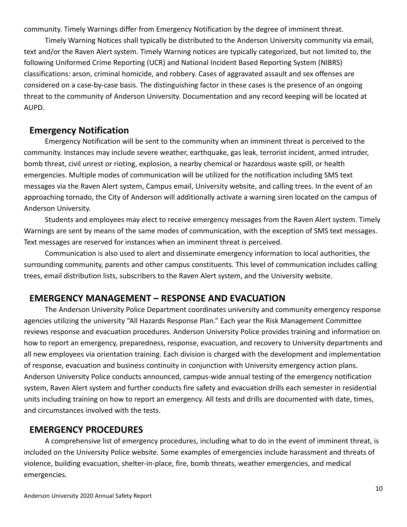community. Timely Warnings differ from Emergency Notification by the degree of imminent threat.

Timely Warning Notices shall typically be distributed to the Anderson University community via email, text and/or the Raven Alert system. Timely Warning notices are typically categorized, but not limited to, the following Uniformed Crime Reporting (UCR) and National Incident Based Reporting System (NIBRS) classifications: arson, criminal homicide, and robbery. Cases of aggravated assault and sex offenses are considered on a case-by-case basis. The distinguishing factor in these cases is the presence of an ongoing threat to the community of Anderson University. Documentation and any record keeping will be located at AUPD.

### **Emergency Notification**

Emergency Notification will be sent to the community when an imminent threat is perceived to the community. Instances may include severe weather, earthquake, gas leak, terrorist incident, armed intruder, bomb threat, civil unrest or rioting, explosion, a nearby chemical or hazardous waste spill, or health emergencies. Multiple modes of communication will be utilized for the notification including SMS text messages via the Raven Alert system, Campus email, University website, and calling trees. In the event of an approaching tornado, the City of Anderson will additionally activate a warning siren located on the campus of Anderson University.

Students and employees may elect to receive emergency messages from the Raven Alert system. Timely Warnings are sent by means of the same modes of communication, with the exception of SMS text messages. Text messages are reserved for instances when an imminent threat is perceived.

Communication is also used to alert and disseminate emergency information to local authorities, the surrounding community, parents and other campus constituents. This level of communication includes calling trees, email distribution lists, subscribers to the Raven Alert system, and the University website.

## **EMERGENCY MANAGEMENT – RESPONSE AND EVACUATION**

The Anderson University Police Department coordinates university and community emergency response agencies utilizing the university "All Hazards Response Plan." Each year the Risk Management Committee reviews response and evacuation procedures. Anderson University Police provides training and information on how to report an emergency, preparedness, response, evacuation, and recovery to University departments and all new employees via orientation training. Each division is charged with the development and implementation of response, evacuation and business continuity in conjunction with University emergency action plans. Anderson University Police conducts announced, campus-wide annual testing of the emergency notification system, Raven Alert system and further conducts fire safety and evacuation drills each semester in residential units including training on how to report an emergency. All tests and drills are documented with date, times, and circumstances involved with the tests.

## **EMERGENCY PROCEDURES**

A comprehensive list of emergency procedures, including what to do in the event of imminent threat, is included on the University Police website. Some examples of emergencies include harassment and threats of violence, building evacuation, shelter-in-place, fire, bomb threats, weather emergencies, and medical emergencies.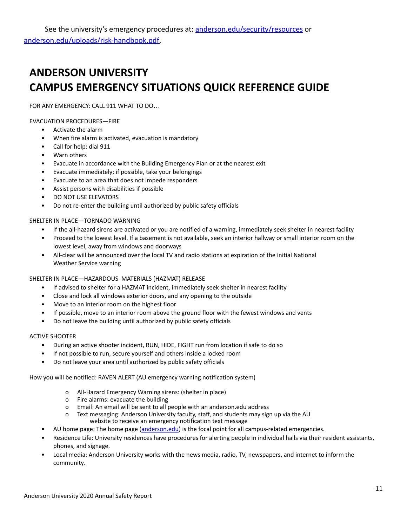# **ANDERSON UNIVERSITY CAMPUS EMERGENCY SITUATIONS QUICK REFERENCE GUIDE**

FOR ANY EMERGENCY: CALL 911 WHAT TO DO…

EVACUATION PROCEDURES—FIRE

- Activate the alarm
- When fire alarm is activated, evacuation is mandatory
- Call for help: dial 911
- Warn others
- Evacuate in accordance with the Building Emergency Plan or at the nearest exit
- Evacuate immediately; if possible, take your belongings
- Evacuate to an area that does not impede responders
- Assist persons with disabilities if possible
- DO NOT USE ELEVATORS
- Do not re-enter the building until authorized by public safety officials

#### SHELTER IN PLACE—TORNADO WARNING

- If the all-hazard sirens are activated or you are notified of a warning, immediately seek shelter in nearest facility
- Proceed to the lowest level. If a basement is not available, seek an interior hallway or small interior room on the lowest level, away from windows and doorways
- All-clear will be announced over the local TV and radio stations at expiration of the initial National Weather Service warning

#### SHELTER IN PLACE—HAZARDOUS MATERIALS (HAZMAT) RELEASE

- If advised to shelter for a HAZMAT incident, immediately seek shelter in nearest facility
- Close and lock all windows exterior doors, and any opening to the outside
- Move to an interior room on the highest floor
- If possible, move to an interior room above the ground floor with the fewest windows and vents
- Do not leave the building until authorized by public safety officials

#### ACTIVE SHOOTER

- During an active shooter incident, RUN, HIDE, FIGHT run from location if safe to do so
- If not possible to run, secure yourself and others inside a locked room
- Do not leave your area until authorized by public safety officials

How you will be notified: RAVEN ALERT (AU emergency warning notification system)

- o All-Hazard Emergency Warning sirens: (shelter in place)
- o Fire alarms: evacuate the building
- o Email: An email will be sent to all people with an anderson.edu address
- o Text messaging: Anderson University faculty, staff, and students may sign up via the AU website to receive an emergency notification text message
- AU home page: The home page ([anderson.edu\)](http://anderson.edu/) is the focal point for all campus-related emergencies.
- Residence Life: University residences have procedures for alerting people in individual halls via their resident assistants, phones, and signage.
- Local media: Anderson University works with the news media, radio, TV, newspapers, and internet to inform the community.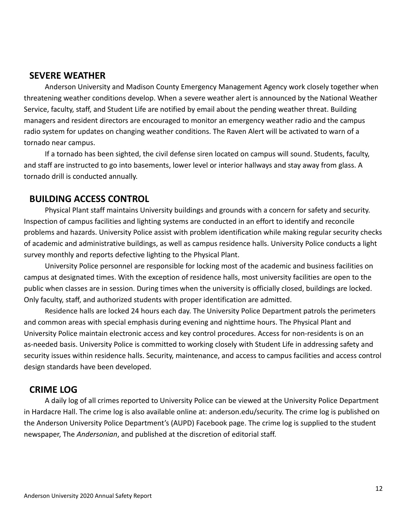## **SEVERE WEATHER**

Anderson University and Madison County Emergency Management Agency work closely together when threatening weather conditions develop. When a severe weather alert is announced by the National Weather Service, faculty, staff, and Student Life are notified by email about the pending weather threat. Building managers and resident directors are encouraged to monitor an emergency weather radio and the campus radio system for updates on changing weather conditions. The Raven Alert will be activated to warn of a tornado near campus.

If a tornado has been sighted, the civil defense siren located on campus will sound. Students, faculty, and staff are instructed to go into basements, lower level or interior hallways and stay away from glass. A tornado drill is conducted annually.

## **BUILDING ACCESS CONTROL**

Physical Plant staff maintains University buildings and grounds with a concern for safety and security. Inspection of campus facilities and lighting systems are conducted in an effort to identify and reconcile problems and hazards. University Police assist with problem identification while making regular security checks of academic and administrative buildings, as well as campus residence halls. University Police conducts a light survey monthly and reports defective lighting to the Physical Plant.

University Police personnel are responsible for locking most of the academic and business facilities on campus at designated times. With the exception of residence halls, most university facilities are open to the public when classes are in session. During times when the university is officially closed, buildings are locked. Only faculty, staff, and authorized students with proper identification are admitted.

Residence halls are locked 24 hours each day. The University Police Department patrols the perimeters and common areas with special emphasis during evening and nighttime hours. The Physical Plant and University Police maintain electronic access and key control procedures. Access for non-residents is on an as-needed basis. University Police is committed to working closely with Student Life in addressing safety and security issues within residence halls. Security, maintenance, and access to campus facilities and access control design standards have been developed.

## **CRIME LOG**

A daily log of all crimes reported to University Police can be viewed at the University Police Department in Hardacre Hall. The crime log is also available online at: anderson.edu/security. The crime log is published on the Anderson University Police Department's (AUPD) Facebook page. The crime log is supplied to the student newspaper, The *Andersonian*, and published at the discretion of editorial staff.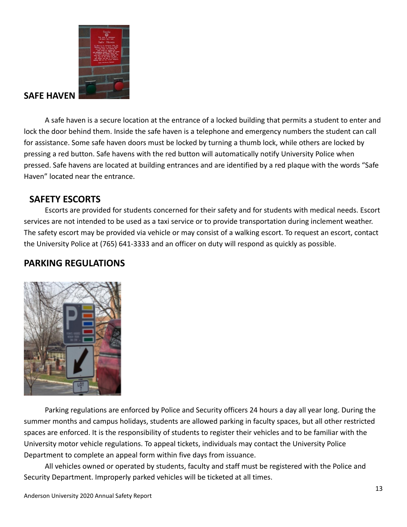

## **SAFE HAVEN**

A safe haven is a secure location at the entrance of a locked building that permits a student to enter and lock the door behind them. Inside the safe haven is a telephone and emergency numbers the student can call for assistance. Some safe haven doors must be locked by turning a thumb lock, while others are locked by pressing a red button. Safe havens with the red button will automatically notify University Police when pressed. Safe havens are located at building entrances and are identified by a red plaque with the words "Safe Haven" located near the entrance.

## **SAFETY ESCORTS**

Escorts are provided for students concerned for their safety and for students with medical needs. Escort services are not intended to be used as a taxi service or to provide transportation during inclement weather. The safety escort may be provided via vehicle or may consist of a walking escort. To request an escort, contact the University Police at (765) 641-3333 and an officer on duty will respond as quickly as possible.

## **PARKING REGULATIONS**



Parking regulations are enforced by Police and Security officers 24 hours a day all year long. During the summer months and campus holidays, students are allowed parking in faculty spaces, but all other restricted spaces are enforced. It is the responsibility of students to register their vehicles and to be familiar with the University motor vehicle regulations. To appeal tickets, individuals may contact the University Police Department to complete an appeal form within five days from issuance.

All vehicles owned or operated by students, faculty and staff must be registered with the Police and Security Department. Improperly parked vehicles will be ticketed at all times.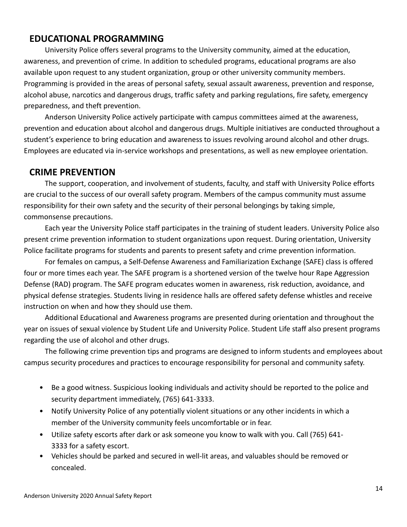## **EDUCATIONAL PROGRAMMING**

University Police offers several programs to the University community, aimed at the education, awareness, and prevention of crime. In addition to scheduled programs, educational programs are also available upon request to any student organization, group or other university community members. Programming is provided in the areas of personal safety, sexual assault awareness, prevention and response, alcohol abuse, narcotics and dangerous drugs, traffic safety and parking regulations, fire safety, emergency preparedness, and theft prevention.

Anderson University Police actively participate with campus committees aimed at the awareness, prevention and education about alcohol and dangerous drugs. Multiple initiatives are conducted throughout a student's experience to bring education and awareness to issues revolving around alcohol and other drugs. Employees are educated via in-service workshops and presentations, as well as new employee orientation.

## **CRIME PREVENTION**

The support, cooperation, and involvement of students, faculty, and staff with University Police efforts are crucial to the success of our overall safety program. Members of the campus community must assume responsibility for their own safety and the security of their personal belongings by taking simple, commonsense precautions.

Each year the University Police staff participates in the training of student leaders. University Police also present crime prevention information to student organizations upon request. During orientation, University Police facilitate programs for students and parents to present safety and crime prevention information.

For females on campus, a Self-Defense Awareness and Familiarization Exchange (SAFE) class is offered four or more times each year. The SAFE program is a shortened version of the twelve hour Rape Aggression Defense (RAD) program. The SAFE program educates women in awareness, risk reduction, avoidance, and physical defense strategies. Students living in residence halls are offered safety defense whistles and receive instruction on when and how they should use them.

Additional Educational and Awareness programs are presented during orientation and throughout the year on issues of sexual violence by Student Life and University Police. Student Life staff also present programs regarding the use of alcohol and other drugs.

The following crime prevention tips and programs are designed to inform students and employees about campus security procedures and practices to encourage responsibility for personal and community safety.

- Be a good witness. Suspicious looking individuals and activity should be reported to the police and security department immediately, (765) 641-3333.
- Notify University Police of any potentially violent situations or any other incidents in which a member of the University community feels uncomfortable or in fear.
- Utilize safety escorts after dark or ask someone you know to walk with you. Call (765) 641- 3333 for a safety escort.
- Vehicles should be parked and secured in well-lit areas, and valuables should be removed or concealed.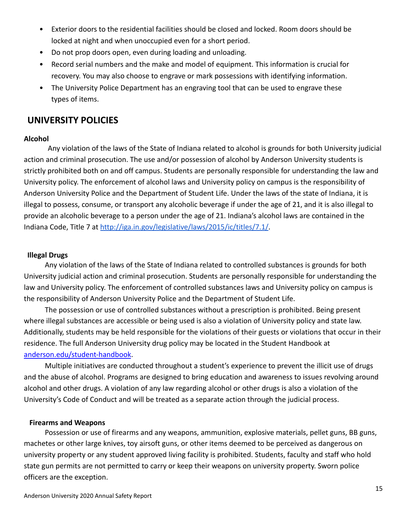- Exterior doors to the residential facilities should be closed and locked. Room doors should be locked at night and when unoccupied even for a short period.
- Do not prop doors open, even during loading and unloading.
- Record serial numbers and the make and model of equipment. This information is crucial for recovery. You may also choose to engrave or mark possessions with identifying information.
- The University Police Department has an engraving tool that can be used to engrave these types of items.

## **UNIVERSITY POLICIES**

#### **Alcohol**

Any violation of the laws of the State of Indiana related to alcohol is grounds for both University judicial action and criminal prosecution. The use and/or possession of alcohol by Anderson University students is strictly prohibited both on and off campus. Students are personally responsible for understanding the law and University policy. The enforcement of alcohol laws and University policy on campus is the responsibility of Anderson University Police and the Department of Student Life. Under the laws of the state of Indiana, it is illegal to possess, consume, or transport any alcoholic beverage if under the age of 21, and it is also illegal to provide an alcoholic beverage to a person under the age of 21. Indiana's alcohol laws are contained in the Indiana Code, Title 7 at [http://iga.in.gov/legislative/laws/2015/ic/titles/7.1/.](http://iga.in.gov/legislative/laws/2015/ic/titles/7.1/)

#### **Illegal Drugs**

Any violation of the laws of the State of Indiana related to controlled substances is grounds for both University judicial action and criminal prosecution. Students are personally responsible for understanding the law and University policy. The enforcement of controlled substances laws and University policy on campus is the responsibility of Anderson University Police and the Department of Student Life.

The possession or use of controlled substances without a prescription is prohibited. Being present where illegal substances are accessible or being used is also a violation of University policy and state law. Additionally, students may be held responsible for the violations of their guests or violations that occur in their residence. The full Anderson University drug policy may be located in the Student Handbook at [anderson.edu/student-handbook](http://anderson.edu/student-handbook).

Multiple initiatives are conducted throughout a student's experience to prevent the illicit use of drugs and the abuse of alcohol. Programs are designed to bring education and awareness to issues revolving around alcohol and other drugs. A violation of any law regarding alcohol or other drugs is also a violation of the University's Code of Conduct and will be treated as a separate action through the judicial process.

#### **Firearms and Weapons**

Possession or use of firearms and any weapons, ammunition, explosive materials, pellet guns, BB guns, machetes or other large knives, toy airsoft guns, or other items deemed to be perceived as dangerous on university property or any student approved living facility is prohibited. Students, faculty and staff who hold state gun permits are not permitted to carry or keep their weapons on university property. Sworn police officers are the exception.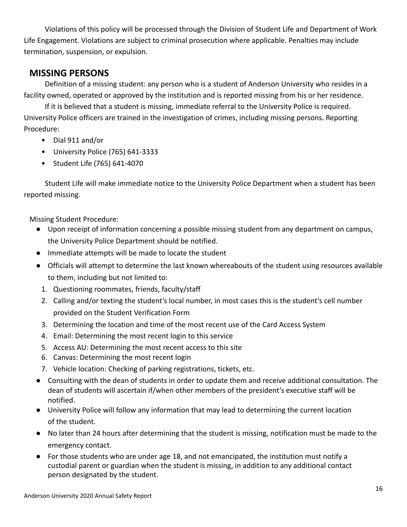Violations of this policy will be processed through the Division of Student Life and Department of Work Life Engagement. Violations are subject to criminal prosecution where applicable. Penalties may include termination, suspension, or expulsion.

## **MISSING PERSONS**

Definition of a missing student: any person who is a student of Anderson University who resides in a facility owned, operated or approved by the institution and is reported missing from his or her residence.

If it is believed that a student is missing, immediate referral to the University Police is required. University Police officers are trained in the investigation of crimes, including missing persons. Reporting Procedure:

- Dial 911 and/or
- University Police (765) 641-3333
- Student Life (765) 641-4070

Student Life will make immediate notice to the University Police Department when a student has been reported missing.

Missing Student Procedure:

- Upon receipt of information concerning a possible missing student from any department on campus, the University Police Department should be notified.
- Immediate attempts will be made to locate the student
- Officials will attempt to determine the last known whereabouts of the student using resources available to them, including but not limited to:
	- 1. Questioning roommates, friends, faculty/staff
	- 2. Calling and/or texting the student's local number, in most cases this is the student's cell number provided on the Student Verification Form
	- 3. Determining the location and time of the most recent use of the Card Access System
	- 4. Email: Determining the most recent login to this service
	- 5. Access AU: Determining the most recent access to this site
	- 6. Canvas: Determining the most recent login
	- 7. Vehicle location: Checking of parking registrations, tickets, etc.
- Consulting with the dean of students in order to update them and receive additional consultation. The dean of students will ascertain if/when other members of the president's executive staff will be notified.
- University Police will follow any information that may lead to determining the current location of the student.
- No later than 24 hours after determining that the student is missing, notification must be made to the emergency contact.
- For those students who are under age 18, and not emancipated, the institution must notify a custodial parent or guardian when the student is missing, in addition to any additional contact person designated by the student.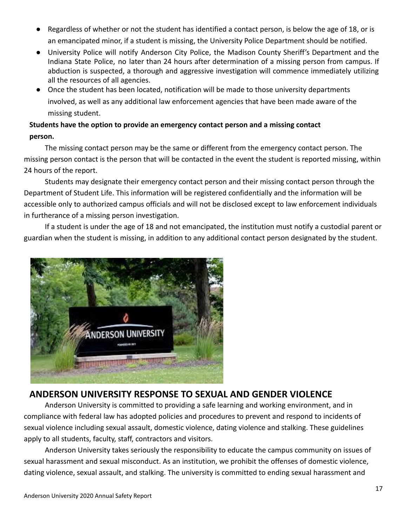- Regardless of whether or not the student has identified a contact person, is below the age of 18, or is an emancipated minor, if a student is missing, the University Police Department should be notified.
- University Police will notify Anderson City Police, the Madison County Sheriff's Department and the Indiana State Police, no later than 24 hours after determination of a missing person from campus. If abduction is suspected, a thorough and aggressive investigation will commence immediately utilizing all the resources of all agencies.
- Once the student has been located, notification will be made to those university departments involved, as well as any additional law enforcement agencies that have been made aware of the missing student.

## **Students have the option to provide an emergency contact person and a missing contact person.**

The missing contact person may be the same or different from the emergency contact person. The missing person contact is the person that will be contacted in the event the student is reported missing, within 24 hours of the report.

Students may designate their emergency contact person and their missing contact person through the Department of Student Life. This information will be registered confidentially and the information will be accessible only to authorized campus officials and will not be disclosed except to law enforcement individuals in furtherance of a missing person investigation.

If a student is under the age of 18 and not emancipated, the institution must notify a custodial parent or guardian when the student is missing, in addition to any additional contact person designated by the student.



## **ANDERSON UNIVERSITY RESPONSE TO SEXUAL AND GENDER VIOLENCE**

Anderson University is committed to providing a safe learning and working environment, and in compliance with federal law has adopted policies and procedures to prevent and respond to incidents of sexual violence including sexual assault, domestic violence, dating violence and stalking. These guidelines apply to all students, faculty, staff, contractors and visitors.

Anderson University takes seriously the responsibility to educate the campus community on issues of sexual harassment and sexual misconduct. As an institution, we prohibit the offenses of domestic violence, dating violence, sexual assault, and stalking. The university is committed to ending sexual harassment and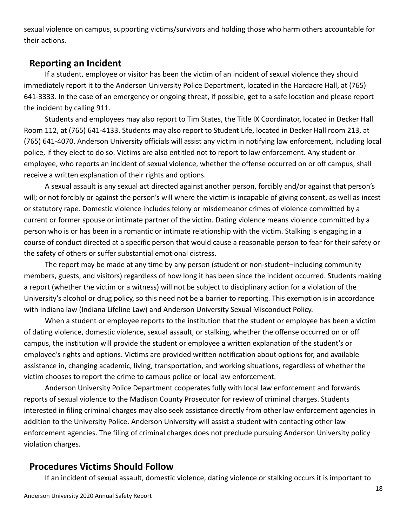sexual violence on campus, supporting victims/survivors and holding those who harm others accountable for their actions.

### **Reporting an Incident**

If a student, employee or visitor has been the victim of an incident of sexual violence they should immediately report it to the Anderson University Police Department, located in the Hardacre Hall, at (765) 641-3333. In the case of an emergency or ongoing threat, if possible, get to a safe location and please report the incident by calling 911.

Students and employees may also report to Tim States, the Title IX Coordinator, located in Decker Hall Room 112, at (765) 641-4133. Students may also report to Student Life, located in Decker Hall room 213, at (765) 641-4070. Anderson University officials will assist any victim in notifying law enforcement, including local police, if they elect to do so. Victims are also entitled not to report to law enforcement. Any student or employee, who reports an incident of sexual violence, whether the offense occurred on or off campus, shall receive a written explanation of their rights and options.

A sexual assault is any sexual act directed against another person, forcibly and/or against that person's will; or not forcibly or against the person's will where the victim is incapable of giving consent, as well as incest or statutory rape. Domestic violence includes felony or misdemeanor crimes of violence committed by a current or former spouse or intimate partner of the victim. Dating violence means violence committed by a person who is or has been in a romantic or intimate relationship with the victim. Stalking is engaging in a course of conduct directed at a specific person that would cause a reasonable person to fear for their safety or the safety of others or suffer substantial emotional distress.

The report may be made at any time by any person (student or non-student–including community members, guests, and visitors) regardless of how long it has been since the incident occurred. Students making a report (whether the victim or a witness) will not be subject to disciplinary action for a violation of the University's alcohol or drug policy, so this need not be a barrier to reporting. This exemption is in accordance with Indiana law (Indiana Lifeline Law) and Anderson University Sexual Misconduct Policy.

When a student or employee reports to the institution that the student or employee has been a victim of dating violence, domestic violence, sexual assault, or stalking, whether the offense occurred on or off campus, the institution will provide the student or employee a written explanation of the student's or employee's rights and options. Victims are provided written notification about options for, and available assistance in, changing academic, living, transportation, and working situations, regardless of whether the victim chooses to report the crime to campus police or local law enforcement.

Anderson University Police Department cooperates fully with local law enforcement and forwards reports of sexual violence to the Madison County Prosecutor for review of criminal charges. Students interested in filing criminal charges may also seek assistance directly from other law enforcement agencies in addition to the University Police. Anderson University will assist a student with contacting other law enforcement agencies. The filing of criminal charges does not preclude pursuing Anderson University policy violation charges.

## **Procedures Victims Should Follow**

If an incident of sexual assault, domestic violence, dating violence or stalking occurs it is important to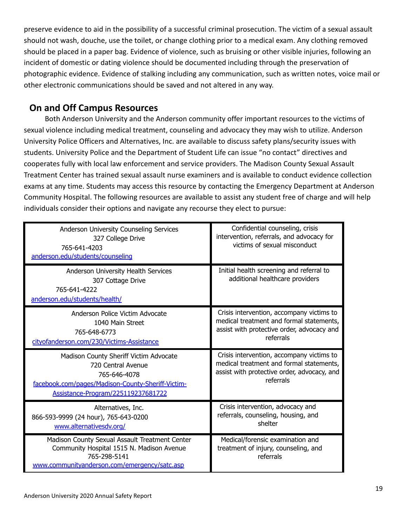preserve evidence to aid in the possibility of a successful criminal prosecution. The victim of a sexual assault should not wash, douche, use the toilet, or change clothing prior to a medical exam. Any clothing removed should be placed in a paper bag. Evidence of violence, such as bruising or other visible injuries, following an incident of domestic or dating violence should be documented including through the preservation of photographic evidence. Evidence of stalking including any communication, such as written notes, voice mail or other electronic communications should be saved and not altered in any way.

## **On and Off Campus Resources**

Both Anderson University and the Anderson community offer important resources to the victims of sexual violence including medical treatment, counseling and advocacy they may wish to utilize. Anderson University Police Officers and Alternatives, Inc. are available to discuss safety plans/security issues with students. University Police and the Department of Student Life can issue "no contact" directives and cooperates fully with local law enforcement and service providers. The Madison County Sexual Assault Treatment Center has trained sexual assault nurse examiners and is available to conduct evidence collection exams at any time. Students may access this resource by contacting the Emergency Department at Anderson Community Hospital. The following resources are available to assist any student free of charge and will help individuals consider their options and navigate any recourse they elect to pursue:

| Anderson University Counseling Services<br>327 College Drive<br>765-641-4203<br>anderson.edu/students/counseling                                                        | Confidential counseling, crisis<br>intervention, referrals, and advocacy for<br>victims of sexual misconduct                                      |
|-------------------------------------------------------------------------------------------------------------------------------------------------------------------------|---------------------------------------------------------------------------------------------------------------------------------------------------|
| Anderson University Health Services<br>307 Cottage Drive<br>765-641-4222<br>anderson.edu/students/health/                                                               | Initial health screening and referral to<br>additional healthcare providers                                                                       |
| Anderson Police Victim Advocate<br>1040 Main Street<br>765-648-6773<br>cityofanderson.com/230/Victims-Assistance                                                        | Crisis intervention, accompany victims to<br>medical treatment and formal statements,<br>assist with protective order, advocacy and<br>referrals  |
| Madison County Sheriff Victim Advocate<br>720 Central Avenue<br>765-646-4078<br>facebook.com/pages/Madison-County-Sheriff-Victim-<br>Assistance-Program/225119237681722 | Crisis intervention, accompany victims to<br>medical treatment and formal statements,<br>assist with protective order, advocacy, and<br>referrals |
| Alternatives, Inc.<br>866-593-9999 (24 hour), 765-643-0200<br>www.alternativesdv.org/                                                                                   | Crisis intervention, advocacy and<br>referrals, counseling, housing, and<br>shelter                                                               |
| Madison County Sexual Assault Treatment Center<br>Community Hospital 1515 N. Madison Avenue<br>765-298-5141<br>www.communityanderson.com/emergency/satc.asp             | Medical/forensic examination and<br>treatment of injury, counseling, and<br>referrals                                                             |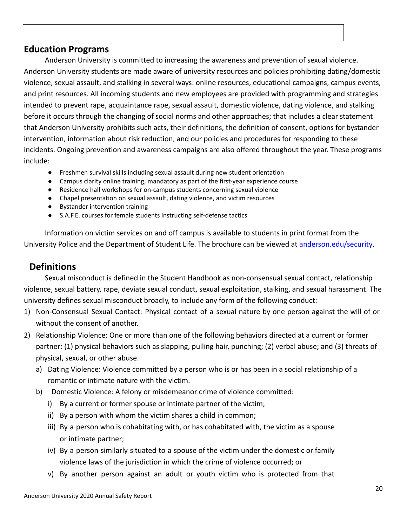## **Education Programs**

Anderson University is committed to increasing the awareness and prevention of sexual violence. Anderson University students are made aware of university resources and policies prohibiting dating/domestic violence, sexual assault, and stalking in several ways: online resources, educational campaigns, campus events, and print resources. All incoming students and new employees are provided with programming and strategies intended to prevent rape, acquaintance rape, sexual assault, domestic violence, dating violence, and stalking before it occurs through the changing of social norms and other approaches; that includes a clear statement that Anderson University prohibits such acts, their definitions, the definition of consent, options for bystander intervention, information about risk reduction, and our policies and procedures for responding to these incidents. Ongoing prevention and awareness campaigns are also offered throughout the year. These programs include:

- Freshmen survival skills including sexual assault during new student orientation
- Campus clarity online training, mandatory as part of the first-year experience course
- Residence hall workshops for on-campus students concerning sexual violence
- Chapel presentation on sexual assault, dating violence, and victim resources
- Bystander intervention training
- S.A.F.E. courses for female students instructing self-defense tactics

Information on victim services on and off campus is available to students in print format from the University Police and the Department of Student Life. The brochure can be viewed at [anderson.edu/security.](http://anderson.edu/security)

## **Definitions**

Sexual misconduct is defined in the Student Handbook as non-consensual sexual contact, relationship violence, sexual battery, rape, deviate sexual conduct, sexual exploitation, stalking, and sexual harassment. The university defines sexual misconduct broadly, to include any form of the following conduct:

- 1) Non-Consensual Sexual Contact: Physical contact of a sexual nature by one person against the will of or without the consent of another.
- 2) Relationship Violence: One or more than one of the following behaviors directed at a current or former partner: (1) physical behaviors such as slapping, pulling hair, punching; (2) verbal abuse; and (3) threats of physical, sexual, or other abuse.
	- a) Dating Violence: Violence committed by a person who is or has been in a social relationship of a romantic or intimate nature with the victim.
	- b) Domestic Violence: A felony or misdemeanor crime of violence committed:
		- i) By a current or former spouse or intimate partner of the victim;
		- ii) By a person with whom the victim shares a child in common;
		- iii) By a person who is cohabitating with, or has cohabitated with, the victim as a spouse or intimate partner;
		- iv) By a person similarly situated to a spouse of the victim under the domestic or family violence laws of the jurisdiction in which the crime of violence occurred; or
		- v) By another person against an adult or youth victim who is protected from that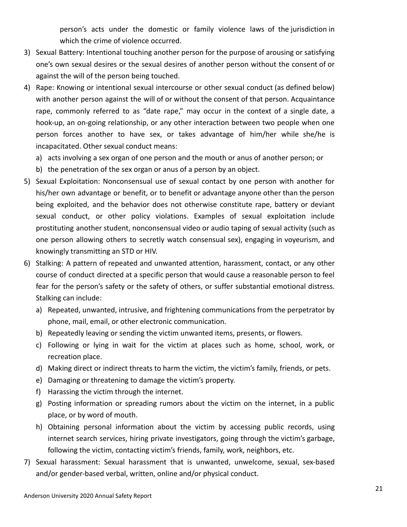person's acts under the domestic or family violence laws of the jurisdiction in which the crime of violence occurred.

- 3) Sexual Battery: Intentional touching another person for the purpose of arousing or satisfying one's own sexual desires or the sexual desires of another person without the consent of or against the will of the person being touched.
- 4) Rape: Knowing or intentional sexual intercourse or other sexual conduct (as defined below) with another person against the will of or without the consent of that person. Acquaintance rape, commonly referred to as "date rape," may occur in the context of a single date, a hook-up, an on-going relationship, or any other interaction between two people when one person forces another to have sex, or takes advantage of him/her while she/he is incapacitated. Other sexual conduct means:
	- a) acts involving a sex organ of one person and the mouth or anus of another person; or
	- b) the penetration of the sex organ or anus of a person by an object.
- 5) Sexual Exploitation: Nonconsensual use of sexual contact by one person with another for his/her own advantage or benefit, or to benefit or advantage anyone other than the person being exploited, and the behavior does not otherwise constitute rape, battery or deviant sexual conduct, or other policy violations. Examples of sexual exploitation include prostituting another student, nonconsensual video or audio taping of sexual activity (such as one person allowing others to secretly watch consensual sex), engaging in voyeurism, and knowingly transmitting an STD or HIV.
- 6) Stalking: A pattern of repeated and unwanted attention, harassment, contact, or any other course of conduct directed at a specific person that would cause a reasonable person to feel fear for the person's safety or the safety of others, or suffer substantial emotional distress. Stalking can include:
	- a) Repeated, unwanted, intrusive, and frightening communications from the perpetrator by phone, mail, email, or other electronic communication.
	- b) Repeatedly leaving or sending the victim unwanted items, presents, or flowers.
	- c) Following or lying in wait for the victim at places such as home, school, work, or recreation place.
	- d) Making direct or indirect threats to harm the victim, the victim's family, friends, or pets.
	- e) Damaging or threatening to damage the victim's property.
	- f) Harassing the victim through the internet.
	- g) Posting information or spreading rumors about the victim on the internet, in a public place, or by word of mouth.
	- h) Obtaining personal information about the victim by accessing public records, using internet search services, hiring private investigators, going through the victim's garbage, following the victim, contacting victim's friends, family, work, neighbors, etc.
- 7) Sexual harassment: Sexual harassment that is unwanted, unwelcome, sexual, sex-based and/or gender-based verbal, written, online and/or physical conduct.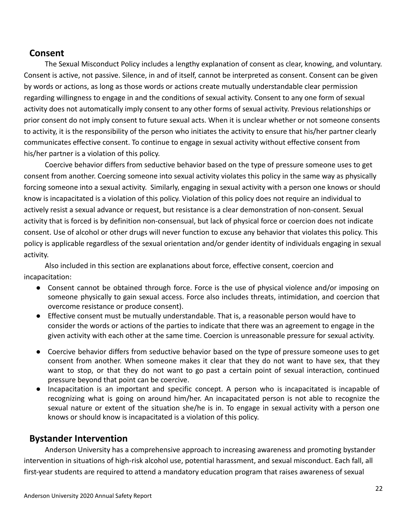### **Consent**

The Sexual Misconduct Policy includes a lengthy explanation of consent as clear, knowing, and voluntary. Consent is active, not passive. Silence, in and of itself, cannot be interpreted as consent. Consent can be given by words or actions, as long as those words or actions create mutually understandable clear permission regarding willingness to engage in and the conditions of sexual activity. Consent to any one form of sexual activity does not automatically imply consent to any other forms of sexual activity. Previous relationships or prior consent do not imply consent to future sexual acts. When it is unclear whether or not someone consents to activity, it is the responsibility of the person who initiates the activity to ensure that his/her partner clearly communicates effective consent. To continue to engage in sexual activity without effective consent from his/her partner is a violation of this policy.

Coercive behavior differs from seductive behavior based on the type of pressure someone uses to get consent from another. Coercing someone into sexual activity violates this policy in the same way as physically forcing someone into a sexual activity. Similarly, engaging in sexual activity with a person one knows or should know is incapacitated is a violation of this policy. Violation of this policy does not require an individual to actively resist a sexual advance or request, but resistance is a clear demonstration of non-consent. Sexual activity that is forced is by definition non-consensual, but lack of physical force or coercion does not indicate consent. Use of alcohol or other drugs will never function to excuse any behavior that violates this policy. This policy is applicable regardless of the sexual orientation and/or gender identity of individuals engaging in sexual activity.

Also included in this section are explanations about force, effective consent, coercion and incapacitation:

- Consent cannot be obtained through force. Force is the use of physical violence and/or imposing on someone physically to gain sexual access. Force also includes threats, intimidation, and coercion that overcome resistance or produce consent).
- Effective consent must be mutually understandable. That is, a reasonable person would have to consider the words or actions of the parties to indicate that there was an agreement to engage in the given activity with each other at the same time. Coercion is unreasonable pressure for sexual activity.
- Coercive behavior differs from seductive behavior based on the type of pressure someone uses to get consent from another. When someone makes it clear that they do not want to have sex, that they want to stop, or that they do not want to go past a certain point of sexual interaction, continued pressure beyond that point can be coercive.
- Incapacitation is an important and specific concept. A person who is incapacitated is incapable of recognizing what is going on around him/her. An incapacitated person is not able to recognize the sexual nature or extent of the situation she/he is in. To engage in sexual activity with a person one knows or should know is incapacitated is a violation of this policy.

## **Bystander Intervention**

Anderson University has a comprehensive approach to increasing awareness and promoting bystander intervention in situations of high-risk alcohol use, potential harassment, and sexual misconduct. Each fall, all first-year students are required to attend a mandatory education program that raises awareness of sexual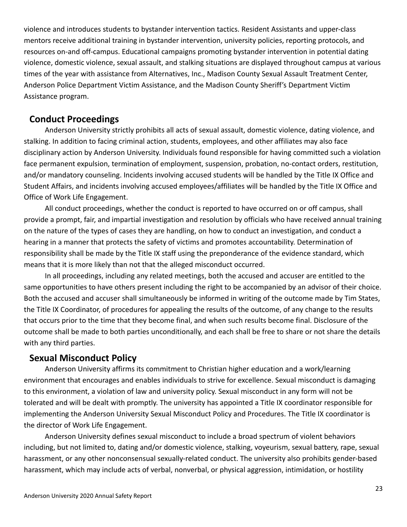violence and introduces students to bystander intervention tactics. Resident Assistants and upper-class mentors receive additional training in bystander intervention, university policies, reporting protocols, and resources on-and off-campus. Educational campaigns promoting bystander intervention in potential dating violence, domestic violence, sexual assault, and stalking situations are displayed throughout campus at various times of the year with assistance from Alternatives, Inc., Madison County Sexual Assault Treatment Center, Anderson Police Department Victim Assistance, and the Madison County Sheriff's Department Victim Assistance program.

## **Conduct Proceedings**

Anderson University strictly prohibits all acts of sexual assault, domestic violence, dating violence, and stalking. In addition to facing criminal action, students, employees, and other affiliates may also face disciplinary action by Anderson University. Individuals found responsible for having committed such a violation face permanent expulsion, termination of employment, suspension, probation, no-contact orders, restitution, and/or mandatory counseling. Incidents involving accused students will be handled by the Title IX Office and Student Affairs, and incidents involving accused employees/affiliates will be handled by the Title IX Office and Office of Work Life Engagement.

All conduct proceedings, whether the conduct is reported to have occurred on or off campus, shall provide a prompt, fair, and impartial investigation and resolution by officials who have received annual training on the nature of the types of cases they are handling, on how to conduct an investigation, and conduct a hearing in a manner that protects the safety of victims and promotes accountability. Determination of responsibility shall be made by the Title IX staff using the preponderance of the evidence standard, which means that it is more likely than not that the alleged misconduct occurred.

In all proceedings, including any related meetings, both the accused and accuser are entitled to the same opportunities to have others present including the right to be accompanied by an advisor of their choice. Both the accused and accuser shall simultaneously be informed in writing of the outcome made by Tim States, the Title IX Coordinator, of procedures for appealing the results of the outcome, of any change to the results that occurs prior to the time that they become final, and when such results become final. Disclosure of the outcome shall be made to both parties unconditionally, and each shall be free to share or not share the details with any third parties.

#### **Sexual Misconduct Policy**

Anderson University affirms its commitment to Christian higher education and a work/learning environment that encourages and enables individuals to strive for excellence. Sexual misconduct is damaging to this environment, a violation of law and university policy. Sexual misconduct in any form will not be tolerated and will be dealt with promptly. The university has appointed a Title IX coordinator responsible for implementing the Anderson University Sexual Misconduct Policy and Procedures. The Title IX coordinator is the director of Work Life Engagement.

Anderson University defines sexual misconduct to include a broad spectrum of violent behaviors including, but not limited to, dating and/or domestic violence, stalking, voyeurism, sexual battery, rape, sexual harassment, or any other nonconsensual sexually-related conduct. The university also prohibits gender-based harassment, which may include acts of verbal, nonverbal, or physical aggression, intimidation, or hostility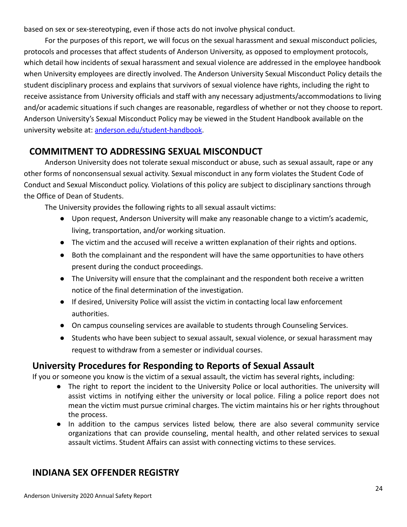based on sex or sex-stereotyping, even if those acts do not involve physical conduct.

For the purposes of this report, we will focus on the sexual harassment and sexual misconduct policies, protocols and processes that affect students of Anderson University, as opposed to employment protocols, which detail how incidents of sexual harassment and sexual violence are addressed in the employee handbook when University employees are directly involved. The Anderson University Sexual Misconduct Policy details the student disciplinary process and explains that survivors of sexual violence have rights, including the right to receive assistance from University officials and staff with any necessary adjustments/accommodations to living and/or academic situations if such changes are reasonable, regardless of whether or not they choose to report. Anderson University's Sexual Misconduct Policy may be viewed in the Student Handbook available on the university website at: [anderson.edu/student-handbook.](http://anderson.edu/student-handbook)

## **COMMITMENT TO ADDRESSING SEXUAL MISCONDUCT**

Anderson University does not tolerate sexual misconduct or abuse, such as sexual assault, rape or any other forms of nonconsensual sexual activity. Sexual misconduct in any form violates the Student Code of Conduct and Sexual Misconduct policy. Violations of this policy are subject to disciplinary sanctions through the Office of Dean of Students.

The University provides the following rights to all sexual assault victims:

- Upon request, Anderson University will make any reasonable change to a victim's academic, living, transportation, and/or working situation.
- The victim and the accused will receive a written explanation of their rights and options.
- Both the complainant and the respondent will have the same opportunities to have others present during the conduct proceedings.
- The University will ensure that the complainant and the respondent both receive a written notice of the final determination of the investigation.
- If desired, University Police will assist the victim in contacting local law enforcement authorities.
- On campus counseling services are available to students through Counseling Services.
- Students who have been subject to sexual assault, sexual violence, or sexual harassment may request to withdraw from a semester or individual courses.

## **University Procedures for Responding to Reports of Sexual Assault**

If you or someone you know is the victim of a sexual assault, the victim has several rights, including:

- The right to report the incident to the University Police or local authorities. The university will assist victims in notifying either the university or local police. Filing a police report does not mean the victim must pursue criminal charges. The victim maintains his or her rights throughout the process.
- In addition to the campus services listed below, there are also several community service organizations that can provide counseling, mental health, and other related services to sexual assault victims. Student Affairs can assist with connecting victims to these services.

## **INDIANA SEX OFFENDER REGISTRY**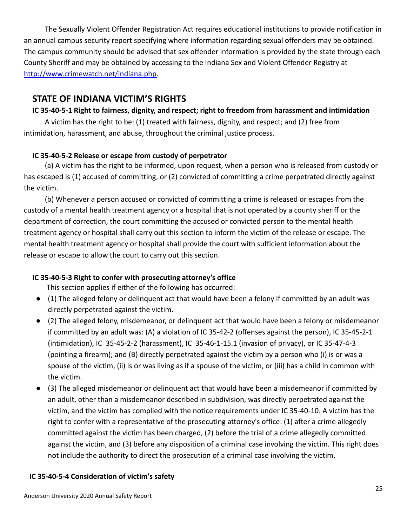The Sexually Violent Offender Registration Act requires educational institutions to provide notification in an annual campus security report specifying where information regarding sexual offenders may be obtained. The campus community should be advised that sex offender information is provided by the state through each County Sheriff and may be obtained by accessing to the Indiana Sex and Violent Offender Registry at [http://www.crimewatch.net/indiana.php.](http://www.crimewatch.net/indiana.php)

## **STATE OF INDIANA VICTIM'S RIGHTS**

### **IC 35-40-5-1 Right to fairness, dignity, and respect; right to freedom from harassment and intimidation**

A victim has the right to be: (1) treated with fairness, dignity, and respect; and (2) free from intimidation, harassment, and abuse, throughout the criminal justice process.

### **IC 35-40-5-2 Release or escape from custody of perpetrator**

(a) A victim has the right to be informed, upon request, when a person who is released from custody or has escaped is (1) accused of committing, or (2) convicted of committing a crime perpetrated directly against the victim.

(b) Whenever a person accused or convicted of committing a crime is released or escapes from the custody of a mental health treatment agency or a hospital that is not operated by a county sheriff or the department of correction, the court committing the accused or convicted person to the mental health treatment agency or hospital shall carry out this section to inform the victim of the release or escape. The mental health treatment agency or hospital shall provide the court with sufficient information about the release or escape to allow the court to carry out this section.

## **IC 35-40-5-3 Right to confer with prosecuting attorney's office**

This section applies if either of the following has occurred:

- (1) The alleged felony or delinquent act that would have been a felony if committed by an adult was directly perpetrated against the victim.
- (2) The alleged felony, misdemeanor, or delinquent act that would have been a felony or misdemeanor if committed by an adult was: (A) a violation of IC 35-42-2 (offenses against the person), IC 35-45-2-1 (intimidation), IC 35-45-2-2 (harassment), IC 35-46-1-15.1 (invasion of privacy), or IC 35-47-4-3 (pointing a firearm); and (B) directly perpetrated against the victim by a person who (i) is or was a spouse of the victim, (ii) is or was living as if a spouse of the victim, or (iii) has a child in common with the victim.
- (3) The alleged misdemeanor or delinquent act that would have been a misdemeanor if committed by an adult, other than a misdemeanor described in subdivision, was directly perpetrated against the victim, and the victim has complied with the notice requirements under IC 35-40-10. A victim has the right to confer with a representative of the prosecuting attorney's office: (1) after a crime allegedly committed against the victim has been charged, (2) before the trial of a crime allegedly committed against the victim, and (3) before any disposition of a criminal case involving the victim. This right does not include the authority to direct the prosecution of a criminal case involving the victim.

### **IC 35-40-5-4 Consideration of victim's safety**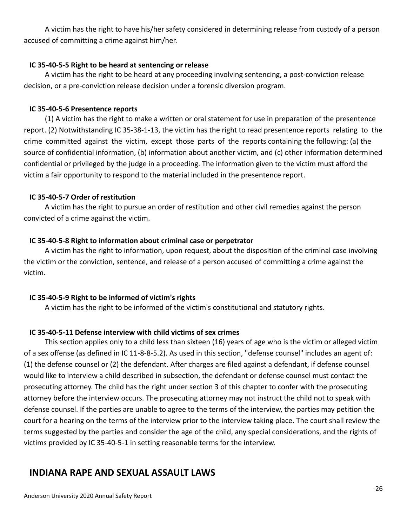A victim has the right to have his/her safety considered in determining release from custody of a person accused of committing a crime against him/her.

#### **IC 35-40-5-5 Right to be heard at sentencing or release**

A victim has the right to be heard at any proceeding involving sentencing, a post-conviction release decision, or a pre-conviction release decision under a forensic diversion program.

### **IC 35-40-5-6 Presentence reports**

(1) A victim has the right to make a written or oral statement for use in preparation of the presentence report. (2) Notwithstanding IC 35-38-1-13, the victim has the right to read presentence reports relating to the crime committed against the victim, except those parts of the reports containing the following: (a) the source of confidential information, (b) information about another victim, and (c) other information determined confidential or privileged by the judge in a proceeding. The information given to the victim must afford the victim a fair opportunity to respond to the material included in the presentence report.

### **IC 35-40-5-7 Order of restitution**

A victim has the right to pursue an order of restitution and other civil remedies against the person convicted of a crime against the victim.

### **IC 35-40-5-8 Right to information about criminal case or perpetrator**

A victim has the right to information, upon request, about the disposition of the criminal case involving the victim or the conviction, sentence, and release of a person accused of committing a crime against the victim.

### **IC 35-40-5-9 Right to be informed of victim's rights**

A victim has the right to be informed of the victim's constitutional and statutory rights.

## **IC 35-40-5-11 Defense interview with child victims of sex crimes**

This section applies only to a child less than sixteen (16) years of age who is the victim or alleged victim of a sex offense (as defined in IC 11-8-8-5.2). As used in this section, "defense counsel" includes an agent of: (1) the defense counsel or (2) the defendant. After charges are filed against a defendant, if defense counsel would like to interview a child described in subsection, the defendant or defense counsel must contact the prosecuting attorney. The child has the right under section 3 of this chapter to confer with the prosecuting attorney before the interview occurs. The prosecuting attorney may not instruct the child not to speak with defense counsel. If the parties are unable to agree to the terms of the interview, the parties may petition the court for a hearing on the terms of the interview prior to the interview taking place. The court shall review the terms suggested by the parties and consider the age of the child, any special considerations, and the rights of victims provided by IC 35-40-5-1 in setting reasonable terms for the interview.

## **INDIANA RAPE AND SEXUAL ASSAULT LAWS**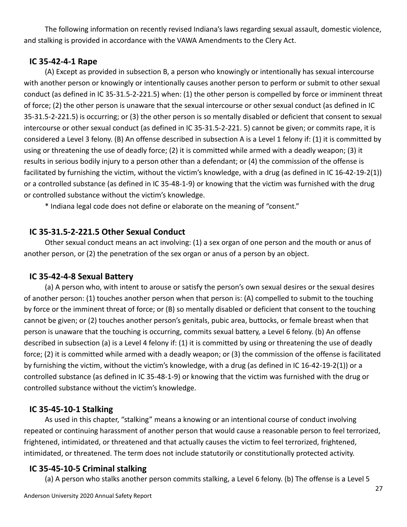The following information on recently revised Indiana's laws regarding sexual assault, domestic violence, and stalking is provided in accordance with the VAWA Amendments to the Clery Act.

### **IC 35-42-4-1 Rape**

(A) Except as provided in subsection B, a person who knowingly or intentionally has sexual intercourse with another person or knowingly or intentionally causes another person to perform or submit to other sexual conduct (as defined in IC 35-31.5-2-221.5) when: (1) the other person is compelled by force or imminent threat of force; (2) the other person is unaware that the sexual intercourse or other sexual conduct (as defined in IC 35-31.5-2-221.5) is occurring; or (3) the other person is so mentally disabled or deficient that consent to sexual intercourse or other sexual conduct (as defined in IC 35-31.5-2-221. 5) cannot be given; or commits rape, it is considered a Level 3 felony. (B) An offense described in subsection A is a Level 1 felony if: (1) it is committed by using or threatening the use of deadly force; (2) it is committed while armed with a deadly weapon; (3) it results in serious bodily injury to a person other than a defendant; or (4) the commission of the offense is facilitated by furnishing the victim, without the victim's knowledge, with a drug (as defined in IC 16-42-19-2(1)) or a controlled substance (as defined in IC 35-48-1-9) or knowing that the victim was furnished with the drug or controlled substance without the victim's knowledge.

\* Indiana legal code does not define or elaborate on the meaning of "consent."

### **IC 35-31.5-2-221.5 Other Sexual Conduct**

Other sexual conduct means an act involving: (1) a sex organ of one person and the mouth or anus of another person, or (2) the penetration of the sex organ or anus of a person by an object.

### **IC 35-42-4-8 Sexual Battery**

(a) A person who, with intent to arouse or satisfy the person's own sexual desires or the sexual desires of another person: (1) touches another person when that person is: (A) compelled to submit to the touching by force or the imminent threat of force; or (B) so mentally disabled or deficient that consent to the touching cannot be given; or (2) touches another person's genitals, pubic area, buttocks, or female breast when that person is unaware that the touching is occurring, commits sexual battery, a Level 6 felony. (b) An offense described in subsection (a) is a Level 4 felony if: (1) it is committed by using or threatening the use of deadly force; (2) it is committed while armed with a deadly weapon; or (3) the commission of the offense is facilitated by furnishing the victim, without the victim's knowledge, with a drug (as defined in IC 16-42-19-2(1)) or a controlled substance (as defined in IC 35-48-1-9) or knowing that the victim was furnished with the drug or controlled substance without the victim's knowledge.

## **IC 35-45-10-1 Stalking**

As used in this chapter, "stalking" means a knowing or an intentional course of conduct involving repeated or continuing harassment of another person that would cause a reasonable person to feel terrorized, frightened, intimidated, or threatened and that actually causes the victim to feel terrorized, frightened, intimidated, or threatened. The term does not include statutorily or constitutionally protected activity.

### **IC 35-45-10-5 Criminal stalking**

(a) A person who stalks another person commits stalking, a Level 6 felony. (b) The offense is a Level 5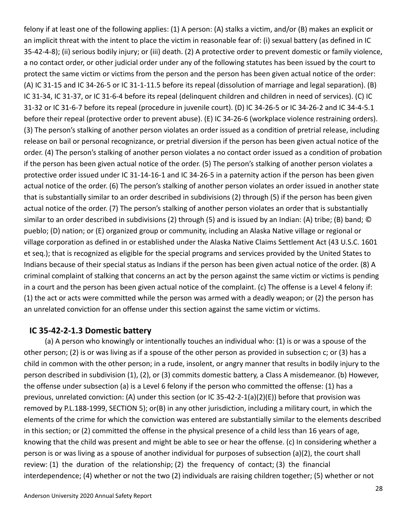felony if at least one of the following applies: (1) A person: (A) stalks a victim, and/or (B) makes an explicit or an implicit threat with the intent to place the victim in reasonable fear of: (i) sexual battery (as defined in IC 35-42-4-8); (ii) serious bodily injury; or (iii) death. (2) A protective order to prevent domestic or family violence, a no contact order, or other judicial order under any of the following statutes has been issued by the court to protect the same victim or victims from the person and the person has been given actual notice of the order: (A) IC 31-15 and IC 34-26-5 or IC 31-1-11.5 before its repeal (dissolution of marriage and legal separation). (B) IC 31-34, IC 31-37, or IC 31-6-4 before its repeal (delinquent children and children in need of services). (C) IC 31-32 or IC 31-6-7 before its repeal (procedure in juvenile court). (D) IC 34-26-5 or IC 34-26-2 and IC 34-4-5.1 before their repeal (protective order to prevent abuse). (E) IC 34-26-6 (workplace violence restraining orders). (3) The person's stalking of another person violates an order issued as a condition of pretrial release, including release on bail or personal recognizance, or pretrial diversion if the person has been given actual notice of the order. (4) The person's stalking of another person violates a no contact order issued as a condition of probation if the person has been given actual notice of the order. (5) The person's stalking of another person violates a protective order issued under IC 31-14-16-1 and IC 34-26-5 in a paternity action if the person has been given actual notice of the order. (6) The person's stalking of another person violates an order issued in another state that is substantially similar to an order described in subdivisions (2) through (5) if the person has been given actual notice of the order. (7) The person's stalking of another person violates an order that is substantially similar to an order described in subdivisions (2) through (5) and is issued by an Indian: (A) tribe; (B) band; © pueblo; (D) nation; or (E) organized group or community, including an Alaska Native village or regional or village corporation as defined in or established under the Alaska Native Claims Settlement Act (43 U.S.C. 1601 et seq.); that is recognized as eligible for the special programs and services provided by the United States to Indians because of their special status as Indians if the person has been given actual notice of the order. (8) A criminal complaint of stalking that concerns an act by the person against the same victim or victims is pending in a court and the person has been given actual notice of the complaint. (c) The offense is a Level 4 felony if: (1) the act or acts were committed while the person was armed with a deadly weapon; or (2) the person has an unrelated conviction for an offense under this section against the same victim or victims.

### **IC 35-42-2-1.3 Domestic battery**

(a) A person who knowingly or intentionally touches an individual who: (1) is or was a spouse of the other person; (2) is or was living as if a spouse of the other person as provided in subsection c; or (3) has a child in common with the other person; in a rude, insolent, or angry manner that results in bodily injury to the person described in subdivision (1), (2), or (3) commits domestic battery, a Class A misdemeanor. (b) However, the offense under subsection (a) is a Level 6 felony if the person who committed the offense: (1) has a previous, unrelated conviction: (A) under this section (or IC 35-42-2-1(a)(2)(E)) before that provision was removed by P.L.188-1999, SECTION 5); or(B) in any other jurisdiction, including a military court, in which the elements of the crime for which the conviction was entered are substantially similar to the elements described in this section; or (2) committed the offense in the physical presence of a child less than 16 years of age, knowing that the child was present and might be able to see or hear the offense. (c) In considering whether a person is or was living as a spouse of another individual for purposes of subsection (a)(2), the court shall review: (1) the duration of the relationship; (2) the frequency of contact; (3) the financial interdependence; (4) whether or not the two (2) individuals are raising children together; (5) whether or not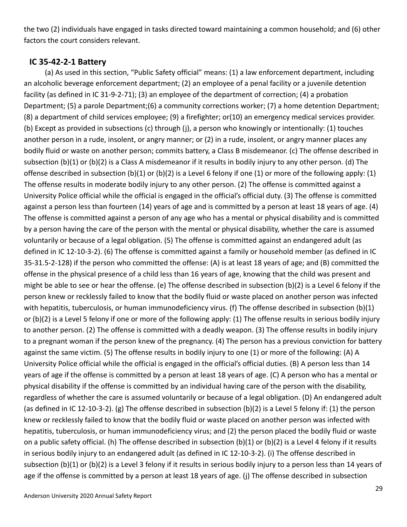the two (2) individuals have engaged in tasks directed toward maintaining a common household; and (6) other factors the court considers relevant.

### **IC 35-42-2-1 Battery**

(a) As used in this section, "Public Safety official" means: (1) a law enforcement department, including an alcoholic beverage enforcement department; (2) an employee of a penal facility or a juvenile detention facility (as defined in IC 31-9-2-71); (3) an employee of the department of correction; (4) a probation Department; (5) a parole Department;(6) a community corrections worker; (7) a home detention Department; (8) a department of child services employee; (9) a firefighter; or(10) an emergency medical services provider. (b) Except as provided in subsections (c) through (j), a person who knowingly or intentionally: (1) touches another person in a rude, insolent, or angry manner; or (2) in a rude, insolent, or angry manner places any bodily fluid or waste on another person; commits battery, a Class B misdemeanor. (c) The offense described in subsection (b)(1) or (b)(2) is a Class A misdemeanor if it results in bodily injury to any other person. (d) The offense described in subsection (b)(1) or (b)(2) is a Level 6 felony if one (1) or more of the following apply: (1) The offense results in moderate bodily injury to any other person. (2) The offense is committed against a University Police official while the official is engaged in the official's official duty. (3) The offense is committed against a person less than fourteen (14) years of age and is committed by a person at least 18 years of age. (4) The offense is committed against a person of any age who has a mental or physical disability and is committed by a person having the care of the person with the mental or physical disability, whether the care is assumed voluntarily or because of a legal obligation. (5) The offense is committed against an endangered adult (as defined in IC 12-10-3-2). (6) The offense is committed against a family or household member (as defined in IC 35-31.5-2-128) if the person who committed the offense: (A) is at least 18 years of age; and (B) committed the offense in the physical presence of a child less than 16 years of age, knowing that the child was present and might be able to see or hear the offense. (e) The offense described in subsection (b)(2) is a Level 6 felony if the person knew or recklessly failed to know that the bodily fluid or waste placed on another person was infected with hepatitis, tuberculosis, or human immunodeficiency virus. (f) The offense described in subsection (b)(1) or (b)(2) is a Level 5 felony if one or more of the following apply: (1) The offense results in serious bodily injury to another person. (2) The offense is committed with a deadly weapon. (3) The offense results in bodily injury to a pregnant woman if the person knew of the pregnancy. (4) The person has a previous conviction for battery against the same victim. (5) The offense results in bodily injury to one (1) or more of the following: (A) A University Police official while the official is engaged in the official's official duties. (B) A person less than 14 years of age if the offense is committed by a person at least 18 years of age. (C) A person who has a mental or physical disability if the offense is committed by an individual having care of the person with the disability, regardless of whether the care is assumed voluntarily or because of a legal obligation. (D) An endangered adult (as defined in IC 12-10-3-2). (g) The offense described in subsection (b)(2) is a Level 5 felony if: (1) the person knew or recklessly failed to know that the bodily fluid or waste placed on another person was infected with hepatitis, tuberculosis, or human immunodeficiency virus; and (2) the person placed the bodily fluid or waste on a public safety official. (h) The offense described in subsection (b)(1) or (b)(2) is a Level 4 felony if it results in serious bodily injury to an endangered adult (as defined in IC 12-10-3-2). (i) The offense described in subsection (b)(1) or (b)(2) is a Level 3 felony if it results in serious bodily injury to a person less than 14 years of age if the offense is committed by a person at least 18 years of age. (j) The offense described in subsection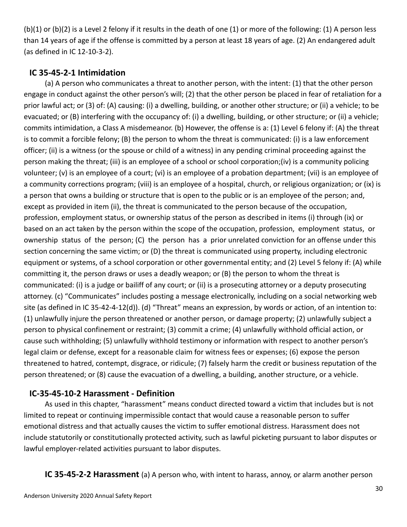(b)(1) or (b)(2) is a Level 2 felony if it results in the death of one (1) or more of the following: (1) A person less than 14 years of age if the offense is committed by a person at least 18 years of age. (2) An endangered adult (as defined in IC 12-10-3-2).

## **IC 35-45-2-1 Intimidation**

(a) A person who communicates a threat to another person, with the intent: (1) that the other person engage in conduct against the other person's will; (2) that the other person be placed in fear of retaliation for a prior lawful act; or (3) of: (A) causing: (i) a dwelling, building, or another other structure; or (ii) a vehicle; to be evacuated; or (B) interfering with the occupancy of: (i) a dwelling, building, or other structure; or (ii) a vehicle; commits intimidation, a Class A misdemeanor. (b) However, the offense is a: (1) Level 6 felony if: (A) the threat is to commit a forcible felony; (B) the person to whom the threat is communicated: (i) is a law enforcement officer; (ii) is a witness (or the spouse or child of a witness) in any pending criminal proceeding against the person making the threat; (iii) is an employee of a school or school corporation;(iv) is a community policing volunteer; (v) is an employee of a court; (vi) is an employee of a probation department; (vii) is an employee of a community corrections program; (viii) is an employee of a hospital, church, or religious organization; or (ix) is a person that owns a building or structure that is open to the public or is an employee of the person; and, except as provided in item (ii), the threat is communicated to the person because of the occupation, profession, employment status, or ownership status of the person as described in items (i) through (ix) or based on an act taken by the person within the scope of the occupation, profession, employment status, or ownership status of the person; (C) the person has a prior unrelated conviction for an offense under this section concerning the same victim; or (D) the threat is communicated using property, including electronic equipment or systems, of a school corporation or other governmental entity; and (2) Level 5 felony if: (A) while committing it, the person draws or uses a deadly weapon; or (B) the person to whom the threat is communicated: (i) is a judge or bailiff of any court; or (ii) is a prosecuting attorney or a deputy prosecuting attorney. (c) "Communicates" includes posting a message electronically, including on a social networking web site (as defined in IC 35-42-4-12(d)). (d) "Threat" means an expression, by words or action, of an intention to: (1) unlawfully injure the person threatened or another person, or damage property; (2) unlawfully subject a person to physical confinement or restraint; (3) commit a crime; (4) unlawfully withhold official action, or cause such withholding; (5) unlawfully withhold testimony or information with respect to another person's legal claim or defense, except for a reasonable claim for witness fees or expenses; (6) expose the person threatened to hatred, contempt, disgrace, or ridicule; (7) falsely harm the credit or business reputation of the person threatened; or (8) cause the evacuation of a dwelling, a building, another structure, or a vehicle.

## **IC-35-45-10-2 Harassment - Definition**

As used in this chapter, "harassment" means conduct directed toward a victim that includes but is not limited to repeat or continuing impermissible contact that would cause a reasonable person to suffer emotional distress and that actually causes the victim to suffer emotional distress. Harassment does not include statutorily or constitutionally protected activity, such as lawful picketing pursuant to labor disputes or lawful employer-related activities pursuant to labor disputes.

**IC 35-45-2-2 Harassment** (a) A person who, with intent to harass, annoy, or alarm another person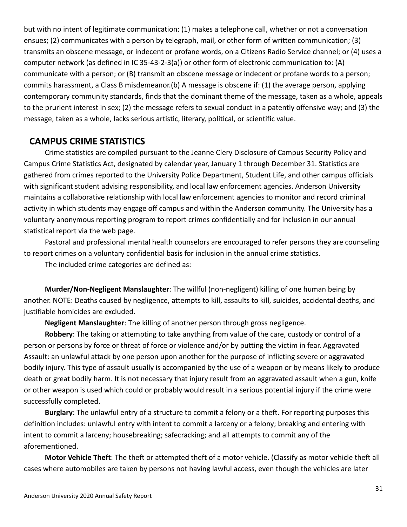but with no intent of legitimate communication: (1) makes a telephone call, whether or not a conversation ensues; (2) communicates with a person by telegraph, mail, or other form of written communication; (3) transmits an obscene message, or indecent or profane words, on a Citizens Radio Service channel; or (4) uses a computer network (as defined in IC 35-43-2-3(a)) or other form of electronic communication to: (A) communicate with a person; or (B) transmit an obscene message or indecent or profane words to a person; commits harassment, a Class B misdemeanor.(b) A message is obscene if: (1) the average person, applying contemporary community standards, finds that the dominant theme of the message, taken as a whole, appeals to the prurient interest in sex; (2) the message refers to sexual conduct in a patently offensive way; and (3) the message, taken as a whole, lacks serious artistic, literary, political, or scientific value.

## **CAMPUS CRIME STATISTICS**

Crime statistics are compiled pursuant to the Jeanne Clery Disclosure of Campus Security Policy and Campus Crime Statistics Act, designated by calendar year, January 1 through December 31. Statistics are gathered from crimes reported to the University Police Department, Student Life, and other campus officials with significant student advising responsibility, and local law enforcement agencies. Anderson University maintains a collaborative relationship with local law enforcement agencies to monitor and record criminal activity in which students may engage off campus and within the Anderson community. The University has a voluntary anonymous reporting program to report crimes confidentially and for inclusion in our annual statistical report via the web page.

Pastoral and professional mental health counselors are encouraged to refer persons they are counseling to report crimes on a voluntary confidential basis for inclusion in the annual crime statistics.

The included crime categories are defined as:

**Murder/Non-Negligent Manslaughter**: The willful (non-negligent) killing of one human being by another. NOTE: Deaths caused by negligence, attempts to kill, assaults to kill, suicides, accidental deaths, and justifiable homicides are excluded.

**Negligent Manslaughter**: The killing of another person through gross negligence.

**Robbery**: The taking or attempting to take anything from value of the care, custody or control of a person or persons by force or threat of force or violence and/or by putting the victim in fear. Aggravated Assault: an unlawful attack by one person upon another for the purpose of inflicting severe or aggravated bodily injury. This type of assault usually is accompanied by the use of a weapon or by means likely to produce death or great bodily harm. It is not necessary that injury result from an aggravated assault when a gun, knife or other weapon is used which could or probably would result in a serious potential injury if the crime were successfully completed.

**Burglary**: The unlawful entry of a structure to commit a felony or a theft. For reporting purposes this definition includes: unlawful entry with intent to commit a larceny or a felony; breaking and entering with intent to commit a larceny; housebreaking; safecracking; and all attempts to commit any of the aforementioned.

**Motor Vehicle Theft**: The theft or attempted theft of a motor vehicle. (Classify as motor vehicle theft all cases where automobiles are taken by persons not having lawful access, even though the vehicles are later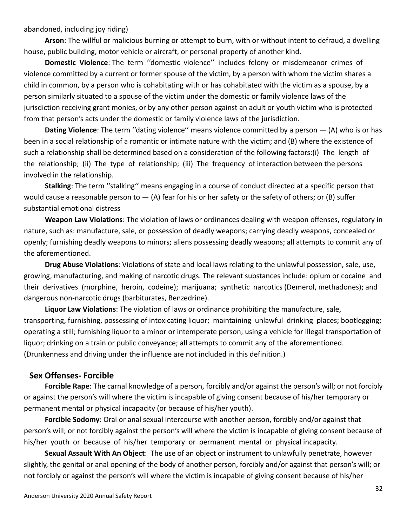abandoned, including joy riding)

**Arson**: The willful or malicious burning or attempt to burn, with or without intent to defraud, a dwelling house, public building, motor vehicle or aircraft, or personal property of another kind.

**Domestic Violence**: The term ''domestic violence'' includes felony or misdemeanor crimes of violence committed by a current or former spouse of the victim, by a person with whom the victim shares a child in common, by a person who is cohabitating with or has cohabitated with the victim as a spouse, by a person similarly situated to a spouse of the victim under the domestic or family violence laws of the jurisdiction receiving grant monies, or by any other person against an adult or youth victim who is protected from that person's acts under the domestic or family violence laws of the jurisdiction.

**Dating Violence**: The term ''dating violence'' means violence committed by a person — (A) who is or has been in a social relationship of a romantic or intimate nature with the victim; and (B) where the existence of such a relationship shall be determined based on a consideration of the following factors:(i) The length of the relationship; (ii) The type of relationship; (iii) The frequency of interaction between the persons involved in the relationship.

**Stalking**: The term ''stalking'' means engaging in a course of conduct directed at a specific person that would cause a reasonable person to  $-$  (A) fear for his or her safety or the safety of others; or (B) suffer substantial emotional distress

**Weapon Law Violations**: The violation of laws or ordinances dealing with weapon offenses, regulatory in nature, such as: manufacture, sale, or possession of deadly weapons; carrying deadly weapons, concealed or openly; furnishing deadly weapons to minors; aliens possessing deadly weapons; all attempts to commit any of the aforementioned.

**Drug Abuse Violations**: Violations of state and local laws relating to the unlawful possession, sale, use, growing, manufacturing, and making of narcotic drugs. The relevant substances include: opium or cocaine and their derivatives (morphine, heroin, codeine); marijuana; synthetic narcotics (Demerol, methadones); and dangerous non-narcotic drugs (barbiturates, Benzedrine).

**Liquor Law Violations**: The violation of laws or ordinance prohibiting the manufacture, sale, transporting, furnishing, possessing of intoxicating liquor; maintaining unlawful drinking places; bootlegging; operating a still; furnishing liquor to a minor or intemperate person; using a vehicle for illegal transportation of liquor; drinking on a train or public conveyance; all attempts to commit any of the aforementioned. (Drunkenness and driving under the influence are not included in this definition.)

### **Sex Offenses- Forcible**

**Forcible Rape**: The carnal knowledge of a person, forcibly and/or against the person's will; or not forcibly or against the person's will where the victim is incapable of giving consent because of his/her temporary or permanent mental or physical incapacity (or because of his/her youth).

**Forcible Sodomy**: Oral or anal sexual intercourse with another person, forcibly and/or against that person's will; or not forcibly against the person's will where the victim is incapable of giving consent because of his/her youth or because of his/her temporary or permanent mental or physical incapacity.

**Sexual Assault With An Object**: The use of an object or instrument to unlawfully penetrate, however slightly, the genital or anal opening of the body of another person, forcibly and/or against that person's will; or not forcibly or against the person's will where the victim is incapable of giving consent because of his/her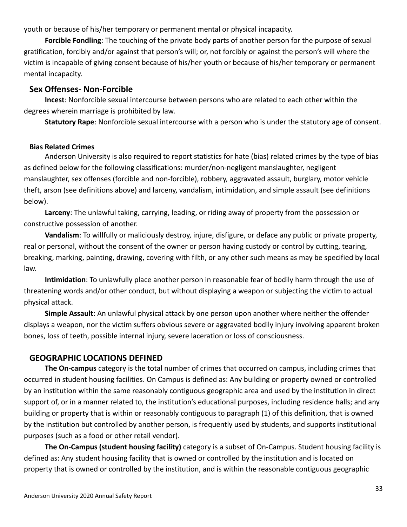youth or because of his/her temporary or permanent mental or physical incapacity.

**Forcible Fondling**: The touching of the private body parts of another person for the purpose of sexual gratification, forcibly and/or against that person's will; or, not forcibly or against the person's will where the victim is incapable of giving consent because of his/her youth or because of his/her temporary or permanent mental incapacity.

### **Sex Offenses- Non-Forcible**

**Incest**: Nonforcible sexual intercourse between persons who are related to each other within the degrees wherein marriage is prohibited by law.

**Statutory Rape**: Nonforcible sexual intercourse with a person who is under the statutory age of consent.

### **Bias Related Crimes**

Anderson University is also required to report statistics for hate (bias) related crimes by the type of bias as defined below for the following classifications: murder/non-negligent manslaughter, negligent manslaughter, sex offenses (forcible and non-forcible), robbery, aggravated assault, burglary, motor vehicle theft, arson (see definitions above) and larceny, vandalism, intimidation, and simple assault (see definitions below).

**Larceny**: The unlawful taking, carrying, leading, or riding away of property from the possession or constructive possession of another.

**Vandalism**: To willfully or maliciously destroy, injure, disfigure, or deface any public or private property, real or personal, without the consent of the owner or person having custody or control by cutting, tearing, breaking, marking, painting, drawing, covering with filth, or any other such means as may be specified by local law.

**Intimidation**: To unlawfully place another person in reasonable fear of bodily harm through the use of threatening words and/or other conduct, but without displaying a weapon or subjecting the victim to actual physical attack.

**Simple Assault**: An unlawful physical attack by one person upon another where neither the offender displays a weapon, nor the victim suffers obvious severe or aggravated bodily injury involving apparent broken bones, loss of teeth, possible internal injury, severe laceration or loss of consciousness.

## **GEOGRAPHIC LOCATIONS DEFINED**

**The On-campus** category is the total number of crimes that occurred on campus, including crimes that occurred in student housing facilities. On Campus is defined as: Any building or property owned or controlled by an institution within the same reasonably contiguous geographic area and used by the institution in direct support of, or in a manner related to, the institution's educational purposes, including residence halls; and any building or property that is within or reasonably contiguous to paragraph (1) of this definition, that is owned by the institution but controlled by another person, is frequently used by students, and supports institutional purposes (such as a food or other retail vendor).

**The On-Campus (student housing facility)** category is a subset of On-Campus. Student housing facility is defined as: Any student housing facility that is owned or controlled by the institution and is located on property that is owned or controlled by the institution, and is within the reasonable contiguous geographic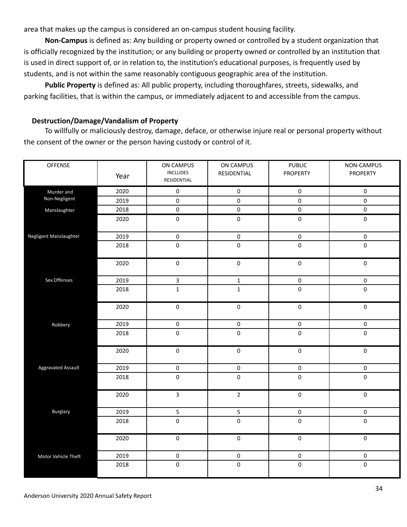area that makes up the campus is considered an on-campus student housing facility.

**Non-Campus** is defined as: Any building or property owned or controlled by a student organization that is officially recognized by the institution; or any building or property owned or controlled by an institution that is used in direct support of, or in relation to, the institution's educational purposes, is frequently used by students, and is not within the same reasonably contiguous geographic area of the institution.

**Public Property** is defined as: All public property, including thoroughfares, streets, sidewalks, and parking facilities, that is within the campus, or immediately adjacent to and accessible from the campus.

#### **Destruction/Damage/Vandalism of Property**

To willfully or maliciously destroy, damage, deface, or otherwise injure real or personal property without the consent of the owner or the person having custody or control of it.

| OFFENSE                | Year | ON CAMPUS<br>INCLUDES<br>RESIDENTIAL | ON CAMPUS<br>RESIDENTIAL | <b>PUBLIC</b><br><b>PROPERTY</b> | NON-CAMPUS<br><b>PROPERTY</b> |
|------------------------|------|--------------------------------------|--------------------------|----------------------------------|-------------------------------|
| Murder and             | 2020 | $\pmb{0}$                            | $\pmb{0}$                | $\pmb{0}$                        | 0                             |
| Non-Negligent          | 2019 | $\pmb{0}$                            | $\pmb{0}$                | 0                                | 0                             |
| Manslaughter           | 2018 | $\pmb{0}$                            | $\pmb{0}$                | $\pmb{0}$                        | 0                             |
|                        | 2020 | $\pmb{0}$                            | $\pmb{0}$                | $\pmb{0}$                        | $\pmb{0}$                     |
| Negligent Manslaughter | 2019 | $\pmb{0}$                            | $\pmb{0}$                | $\pmb{0}$                        | $\pmb{0}$                     |
|                        | 2018 | $\pmb{0}$                            | $\pmb{0}$                | $\pmb{0}$                        | $\pmb{0}$                     |
|                        | 2020 | $\pmb{0}$                            | $\pmb{0}$                | $\pmb{0}$                        | $\pmb{0}$                     |
| Sex Offenses           | 2019 | $\overline{\mathbf{3}}$              | $\mathbf 1$              | $\pmb{0}$                        | $\pmb{0}$                     |
|                        | 2018 | $\mathbf 1$                          | $\mathbf{1}$             | $\pmb{0}$                        | 0                             |
|                        | 2020 | $\pmb{0}$                            | $\pmb{0}$                | $\pmb{0}$                        | $\pmb{0}$                     |
| Robbery                | 2019 | $\pmb{0}$                            | $\pmb{0}$                | $\pmb{0}$                        | 0                             |
|                        | 2018 | $\pmb{0}$                            | $\pmb{0}$                | 0                                | 0                             |
|                        | 2020 | $\pmb{0}$                            | $\pmb{0}$                | $\pmb{0}$                        | 0                             |
| Aggravated Assault     | 2019 | $\pmb{0}$                            | $\pmb{0}$                | $\pmb{0}$                        | $\pmb{0}$                     |
|                        | 2018 | $\pmb{0}$                            | $\pmb{0}$                | $\pmb{0}$                        | 0                             |
|                        | 2020 | $\overline{3}$                       | $\overline{2}$           | $\pmb{0}$                        | $\pmb{0}$                     |
| Burglary               | 2019 | 5                                    | $\overline{5}$           | $\pmb{0}$                        | $\pmb{0}$                     |
|                        | 2018 | $\pmb{0}$                            | $\pmb{0}$                | $\pmb{0}$                        | 0                             |
|                        | 2020 | $\overline{\mathbf{0}}$              | $\overline{0}$           | $\pmb{0}$                        | $\overline{0}$                |
| Motor Vehicle Theft    | 2019 | $\pmb{0}$                            | $\pmb{0}$                | $\pmb{0}$                        | $\pmb{0}$                     |
|                        | 2018 | $\pmb{0}$                            | $\pmb{0}$                | 0                                | $\pmb{0}$                     |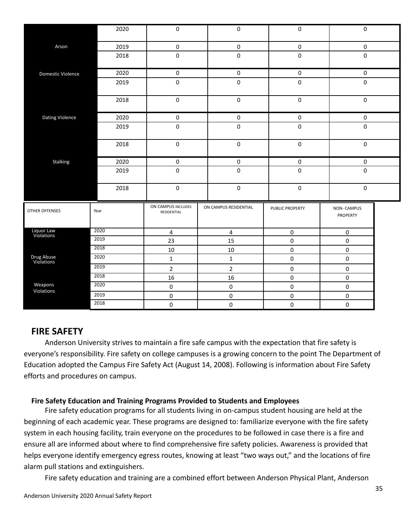|                          | 2020                           | $\pmb{0}$                         |           | $\pmb{0}$             | $\pmb{0}$       |  | $\mathbf 0$                   |  |
|--------------------------|--------------------------------|-----------------------------------|-----------|-----------------------|-----------------|--|-------------------------------|--|
| Arson                    | 2019                           | $\pmb{0}$                         |           | $\pmb{0}$             | $\pmb{0}$       |  | $\pmb{0}$                     |  |
|                          | 2018                           | $\pmb{0}$                         |           | $\pmb{0}$             | $\pmb{0}$       |  | $\mathbf 0$                   |  |
| Domestic Violence        | 2020                           | 0                                 |           | $\pmb{0}$             | $\pmb{0}$       |  | $\mathbf 0$                   |  |
|                          | 2019                           | $\pmb{0}$                         |           | $\pmb{0}$             | $\pmb{0}$       |  | $\pmb{0}$                     |  |
|                          | 2018                           | $\pmb{0}$                         |           | $\pmb{0}$             | $\pmb{0}$       |  | $\pmb{0}$                     |  |
| <b>Dating Violence</b>   | 2020                           | 0                                 |           | $\pmb{0}$             | $\pmb{0}$       |  | $\mathbf 0$                   |  |
|                          | 2019                           | $\pmb{0}$                         |           | $\mathbf 0$           | $\pmb{0}$       |  | $\pmb{0}$                     |  |
|                          | 2018                           | $\pmb{0}$                         |           | $\pmb{0}$             | $\pmb{0}$       |  | $\pmb{0}$                     |  |
| Stalking                 | 2020                           | 0                                 |           | $\pmb{0}$             | $\pmb{0}$       |  | $\mathbf 0$                   |  |
|                          | 2019                           | $\pmb{0}$                         |           | $\pmb{0}$             | $\pmb{0}$       |  | $\pmb{0}$                     |  |
|                          | 2018<br>$\pmb{0}$<br>$\pmb{0}$ |                                   | $\pmb{0}$ |                       | $\pmb{0}$       |  |                               |  |
| <b>OTHER OFFENSES</b>    | Year                           | ON CAMPUS INCLUDES<br>RESIDENTIAL |           | ON CAMPUS RESIDENTIAL | PUBLIC PROPERTY |  | <b>NON-CAMPUS</b><br>PROPERTY |  |
| Liquor Law<br>Violations | 2020                           | $\overline{4}$                    |           | $\overline{4}$        | $\pmb{0}$       |  | $\pmb{0}$                     |  |
|                          | 2019                           | 23                                |           | 15                    | $\pmb{0}$       |  | $\pmb{0}$                     |  |
|                          | 2018                           | $10\,$                            |           | 10                    | $\pmb{0}$       |  | $\pmb{0}$                     |  |
| Drug Abuse<br>Violations | 2020                           | $\mathbf{1}$                      |           | $\mathbf{1}$          | $\pmb{0}$       |  | $\pmb{0}$                     |  |
|                          | 2019                           | $\overline{2}$                    |           | $\overline{2}$        | $\pmb{0}$       |  | $\pmb{0}$                     |  |
|                          | 2018                           | 16                                |           | 16                    | $\pmb{0}$       |  | $\pmb{0}$                     |  |
| Weapons<br>Violations    | 2020                           | $\pmb{0}$                         |           | $\pmb{0}$             | $\pmb{0}$       |  | $\pmb{0}$                     |  |
|                          | 2019                           | 0                                 |           | $\pmb{0}$             | $\pmb{0}$       |  | $\pmb{0}$                     |  |
|                          | 2018                           | 0                                 |           | $\pmb{0}$             | $\pmb{0}$       |  | 0                             |  |

## **FIRE SAFETY**

Anderson University strives to maintain a fire safe campus with the expectation that fire safety is everyone's responsibility. Fire safety on college campuses is a growing concern to the point The Department of Education adopted the Campus Fire Safety Act (August 14, 2008). Following is information about Fire Safety efforts and procedures on campus.

### **Fire Safety Education and Training Programs Provided to Students and Employees**

Fire safety education programs for all students living in on-campus student housing are held at the beginning of each academic year. These programs are designed to: familiarize everyone with the fire safety system in each housing facility, train everyone on the procedures to be followed in case there is a fire and ensure all are informed about where to find comprehensive fire safety policies. Awareness is provided that helps everyone identify emergency egress routes, knowing at least "two ways out," and the locations of fire alarm pull stations and extinguishers.

Fire safety education and training are a combined effort between Anderson Physical Plant, Anderson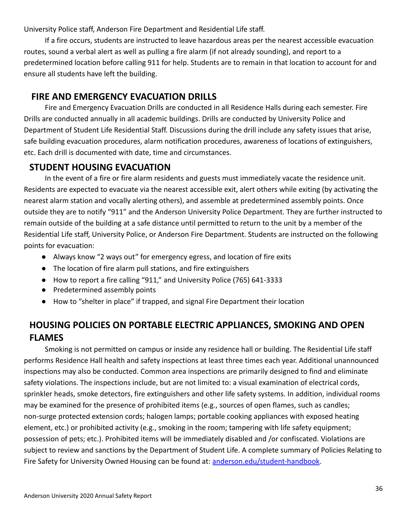University Police staff, Anderson Fire Department and Residential Life staff.

If a fire occurs, students are instructed to leave hazardous areas per the nearest accessible evacuation routes, sound a verbal alert as well as pulling a fire alarm (if not already sounding), and report to a predetermined location before calling 911 for help. Students are to remain in that location to account for and ensure all students have left the building.

## **FIRE AND EMERGENCY EVACUATION DRILLS**

Fire and Emergency Evacuation Drills are conducted in all Residence Halls during each semester. Fire Drills are conducted annually in all academic buildings. Drills are conducted by University Police and Department of Student Life Residential Staff. Discussions during the drill include any safety issues that arise, safe building evacuation procedures, alarm notification procedures, awareness of locations of extinguishers, etc. Each drill is documented with date, time and circumstances.

## **STUDENT HOUSING EVACUATION**

In the event of a fire or fire alarm residents and guests must immediately vacate the residence unit. Residents are expected to evacuate via the nearest accessible exit, alert others while exiting (by activating the nearest alarm station and vocally alerting others), and assemble at predetermined assembly points. Once outside they are to notify "911" and the Anderson University Police Department. They are further instructed to remain outside of the building at a safe distance until permitted to return to the unit by a member of the Residential Life staff, University Police, or Anderson Fire Department. Students are instructed on the following points for evacuation:

- Always know "2 ways out" for emergency egress, and location of fire exits
- The location of fire alarm pull stations, and fire extinguishers
- How to report a fire calling "911," and University Police (765) 641-3333
- Predetermined assembly points
- How to "shelter in place" if trapped, and signal Fire Department their location

## **HOUSING POLICIES ON PORTABLE ELECTRIC APPLIANCES, SMOKING AND OPEN FLAMES**

Smoking is not permitted on campus or inside any residence hall or building. The Residential Life staff performs Residence Hall health and safety inspections at least three times each year. Additional unannounced inspections may also be conducted. Common area inspections are primarily designed to find and eliminate safety violations. The inspections include, but are not limited to: a visual examination of electrical cords, sprinkler heads, smoke detectors, fire extinguishers and other life safety systems. In addition, individual rooms may be examined for the presence of prohibited items (e.g., sources of open flames, such as candles; non-surge protected extension cords; halogen lamps; portable cooking appliances with exposed heating element, etc.) or prohibited activity (e.g., smoking in the room; tampering with life safety equipment; possession of pets; etc.). Prohibited items will be immediately disabled and /or confiscated. Violations are subject to review and sanctions by the Department of Student Life. A complete summary of Policies Relating to Fire Safety for University Owned Housing can be found at: [anderson.edu/student-handbook.](http://anderson.edu/student-handbook)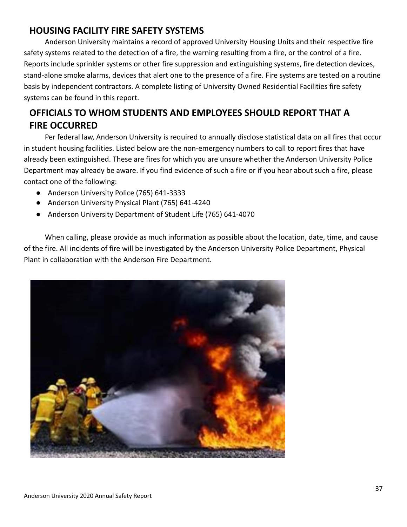## **HOUSING FACILITY FIRE SAFETY SYSTEMS**

Anderson University maintains a record of approved University Housing Units and their respective fire safety systems related to the detection of a fire, the warning resulting from a fire, or the control of a fire. Reports include sprinkler systems or other fire suppression and extinguishing systems, fire detection devices, stand-alone smoke alarms, devices that alert one to the presence of a fire. Fire systems are tested on a routine basis by independent contractors. A complete listing of University Owned Residential Facilities fire safety systems can be found in this report.

# **OFFICIALS TO WHOM STUDENTS AND EMPLOYEES SHOULD REPORT THAT A FIRE OCCURRED**

Per federal law, Anderson University is required to annually disclose statistical data on all fires that occur in student housing facilities. Listed below are the non-emergency numbers to call to report fires that have already been extinguished. These are fires for which you are unsure whether the Anderson University Police Department may already be aware. If you find evidence of such a fire or if you hear about such a fire, please contact one of the following:

- Anderson University Police (765) 641-3333
- Anderson University Physical Plant (765) 641-4240
- Anderson University Department of Student Life (765) 641-4070

When calling, please provide as much information as possible about the location, date, time, and cause of the fire. All incidents of fire will be investigated by the Anderson University Police Department, Physical Plant in collaboration with the Anderson Fire Department.

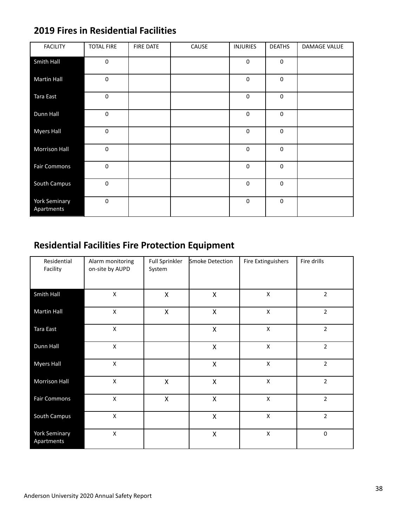| <b>FACILITY</b>             | <b>TOTAL FIRE</b> | <b>FIRE DATE</b> | CAUSE | <b>INJURIES</b> | <b>DEATHS</b> | DAMAGE VALUE |
|-----------------------------|-------------------|------------------|-------|-----------------|---------------|--------------|
| Smith Hall                  | $\mathbf 0$       |                  |       | $\mathbf 0$     | $\mathbf 0$   |              |
| <b>Martin Hall</b>          | $\mathbf 0$       |                  |       | $\mathbf 0$     | $\mathbf 0$   |              |
| Tara East                   | $\mathbf 0$       |                  |       | $\mathbf 0$     | $\pmb{0}$     |              |
| Dunn Hall                   | $\pmb{0}$         |                  |       | 0               | $\pmb{0}$     |              |
| <b>Myers Hall</b>           | $\mathbf 0$       |                  |       | $\mathbf 0$     | $\mathbf 0$   |              |
| <b>Morrison Hall</b>        | $\mathbf 0$       |                  |       | $\mathbf 0$     | $\mathbf 0$   |              |
| <b>Fair Commons</b>         | $\mathbf 0$       |                  |       | $\mathbf 0$     | $\pmb{0}$     |              |
| South Campus                | $\pmb{0}$         |                  |       | $\mathbf 0$     | $\pmb{0}$     |              |
| York Seminary<br>Apartments | $\pmb{0}$         |                  |       | $\mathbf 0$     | $\pmb{0}$     |              |

## **2019 Fires in Residential Facilities**

# **Residential Facilities Fire Protection Equipment**

| Residential<br>Facility     | Alarm monitoring<br>on-site by AUPD | <b>Full Sprinkler</b><br>System | Smoke Detection    | Fire Extinguishers | Fire drills    |
|-----------------------------|-------------------------------------|---------------------------------|--------------------|--------------------|----------------|
| Smith Hall                  | $\pmb{\times}$                      | $\pmb{\mathsf{X}}$              | $\pmb{\mathsf{X}}$ | $\pmb{\mathsf{X}}$ | $\overline{2}$ |
| <b>Martin Hall</b>          | X                                   | $\pmb{\times}$                  | $\pmb{\mathsf{X}}$ | X                  | $\overline{2}$ |
| Tara East                   | $\pmb{\mathsf{X}}$                  |                                 | $\mathsf{X}$       | $\pmb{\mathsf{X}}$ | $\overline{2}$ |
| Dunn Hall                   | $\pmb{\times}$                      |                                 | $\pmb{\times}$     | $\pmb{\times}$     | $\overline{2}$ |
| <b>Myers Hall</b>           | $\pmb{\times}$                      |                                 | $\mathsf{X}$       | $\pmb{\mathsf{X}}$ | $\overline{2}$ |
| Morrison Hall               | $\pmb{\mathsf{X}}$                  | $\pmb{\mathsf{X}}$              | $\mathsf{X}$       | $\pmb{\times}$     | $\overline{2}$ |
| <b>Fair Commons</b>         | $\pmb{\mathsf{X}}$                  | $\pmb{\mathsf{X}}$              | $\pmb{\mathsf{X}}$ | $\pmb{\mathsf{X}}$ | $\mathbf 2$    |
| South Campus                | $\pmb{\mathsf{X}}$                  |                                 | $\mathsf{X}$       | $\pmb{\mathsf{X}}$ | $\overline{2}$ |
| York Seminary<br>Apartments | X                                   |                                 | $\mathsf{X}$       | X                  | $\mathbf 0$    |